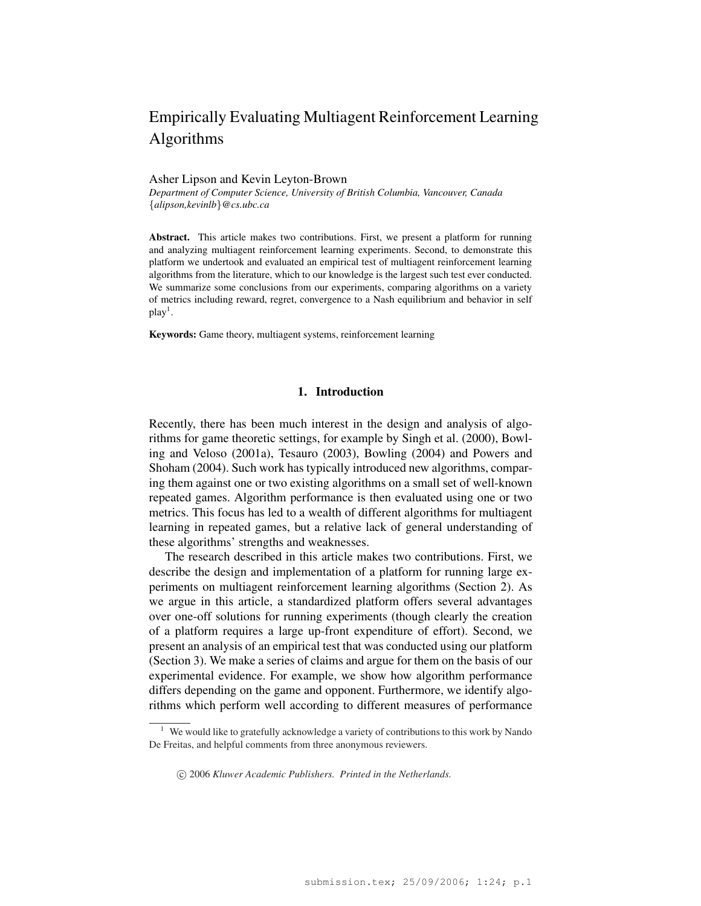# Empirically Evaluating Multiagent Reinforcement Learning Algorithms

#### Asher Lipson and Kevin Leyton-Brown

*Department of Computer Science, University of British Columbia, Vancouver, Canada* {*alipson,kevinlb*}*@cs.ubc.ca*

Abstract. This article makes two contributions. First, we present a platform for running and analyzing multiagent reinforcement learning experiments. Second, to demonstrate this platform we undertook and evaluated an empirical test of multiagent reinforcement learning algorithms from the literature, which to our knowledge is the largest such test ever conducted. We summarize some conclusions from our experiments, comparing algorithms on a variety of metrics including reward, regret, convergence to a Nash equilibrium and behavior in self  $play<sup>1</sup>$ .

Keywords: Game theory, multiagent systems, reinforcement learning

### 1. Introduction

Recently, there has been much interest in the design and analysis of algorithms for game theoretic settings, for example by Singh et al. (2000), Bowling and Veloso (2001a), Tesauro (2003), Bowling (2004) and Powers and Shoham (2004). Such work has typically introduced new algorithms, comparing them against one or two existing algorithms on a small set of well-known repeated games. Algorithm performance is then evaluated using one or two metrics. This focus has led to a wealth of different algorithms for multiagent learning in repeated games, but a relative lack of general understanding of these algorithms' strengths and weaknesses.

The research described in this article makes two contributions. First, we describe the design and implementation of a platform for running large experiments on multiagent reinforcement learning algorithms (Section 2). As we argue in this article, a standardized platform offers several advantages over one-off solutions for running experiments (though clearly the creation of a platform requires a large up-front expenditure of effort). Second, we present an analysis of an empirical test that was conducted using our platform (Section 3). We make a series of claims and argue for them on the basis of our experimental evidence. For example, we show how algorithm performance differs depending on the game and opponent. Furthermore, we identify algorithms which perform well according to different measures of performance

We would like to gratefully acknowledge a variety of contributions to this work by Nando De Freitas, and helpful comments from three anonymous reviewers.

<sup>°</sup>c 2006 *Kluwer Academic Publishers. Printed in the Netherlands.*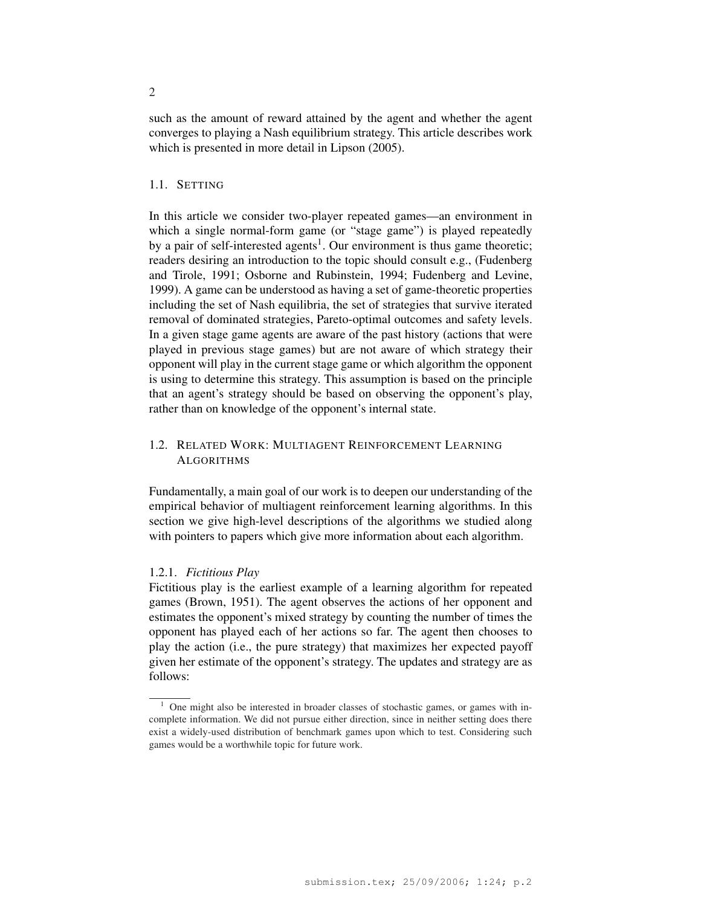such as the amount of reward attained by the agent and whether the agent converges to playing a Nash equilibrium strategy. This article describes work which is presented in more detail in Lipson (2005).

### 1.1. SETTING

In this article we consider two-player repeated games—an environment in which a single normal-form game (or "stage game") is played repeatedly by a pair of self-interested agents<sup>1</sup>. Our environment is thus game theoretic; readers desiring an introduction to the topic should consult e.g., (Fudenberg and Tirole, 1991; Osborne and Rubinstein, 1994; Fudenberg and Levine, 1999). A game can be understood as having a set of game-theoretic properties including the set of Nash equilibria, the set of strategies that survive iterated removal of dominated strategies, Pareto-optimal outcomes and safety levels. In a given stage game agents are aware of the past history (actions that were played in previous stage games) but are not aware of which strategy their opponent will play in the current stage game or which algorithm the opponent is using to determine this strategy. This assumption is based on the principle that an agent's strategy should be based on observing the opponent's play, rather than on knowledge of the opponent's internal state.

# 1.2. RELATED WORK: MULTIAGENT REINFORCEMENT LEARNING **ALGORITHMS**

Fundamentally, a main goal of our work is to deepen our understanding of the empirical behavior of multiagent reinforcement learning algorithms. In this section we give high-level descriptions of the algorithms we studied along with pointers to papers which give more information about each algorithm.

### 1.2.1. *Fictitious Play*

Fictitious play is the earliest example of a learning algorithm for repeated games (Brown, 1951). The agent observes the actions of her opponent and estimates the opponent's mixed strategy by counting the number of times the opponent has played each of her actions so far. The agent then chooses to play the action (i.e., the pure strategy) that maximizes her expected payoff given her estimate of the opponent's strategy. The updates and strategy are as follows:

 $1$  One might also be interested in broader classes of stochastic games, or games with incomplete information. We did not pursue either direction, since in neither setting does there exist a widely-used distribution of benchmark games upon which to test. Considering such games would be a worthwhile topic for future work.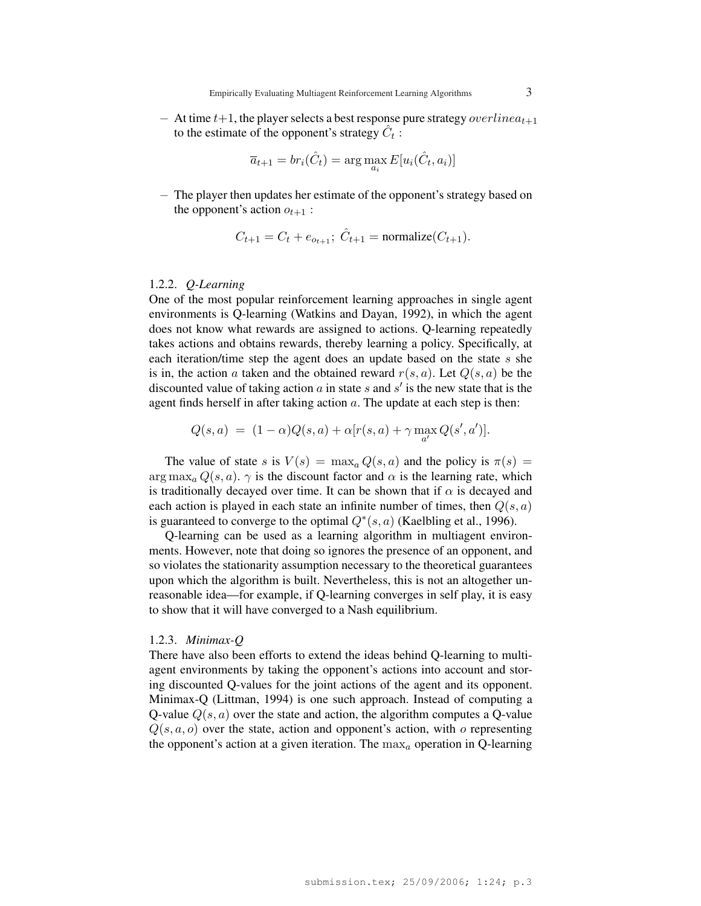$-$  At time  $t+1$ , the player selects a best response pure strategy *overlinea*<sub> $t+1$ </sub> to the estimate of the opponent's strategy  $\hat{C}_t$ :

$$
\overline{a}_{t+1} = br_i(\hat{C}_t) = \arg\max_{a_i} E[u_i(\hat{C}_t, a_i)]
$$

− The player then updates her estimate of the opponent's strategy based on the opponent's action  $o_{t+1}$ :

$$
C_{t+1} = C_t + e_{o_{t+1}};
$$
  $\hat{C}_{t+1}$  = normalize $(C_{t+1})$ .

# 1.2.2. *Q-Learning*

One of the most popular reinforcement learning approaches in single agent environments is Q-learning (Watkins and Dayan, 1992), in which the agent does not know what rewards are assigned to actions. Q-learning repeatedly takes actions and obtains rewards, thereby learning a policy. Specifically, at each iteration/time step the agent does an update based on the state s she is in, the action a taken and the obtained reward  $r(s, a)$ . Let  $Q(s, a)$  be the discounted value of taking action  $\alpha$  in state  $s$  and  $s'$  is the new state that is the agent finds herself in after taking action  $a$ . The update at each step is then:

$$
Q(s, a) = (1 - \alpha)Q(s, a) + \alpha[r(s, a) + \gamma \max_{a'} Q(s', a')].
$$

The value of state s is  $V(s) = \max_a Q(s, a)$  and the policy is  $\pi(s) =$  $\arg \max_a Q(s, a)$ .  $\gamma$  is the discount factor and  $\alpha$  is the learning rate, which is traditionally decayed over time. It can be shown that if  $\alpha$  is decayed and each action is played in each state an infinite number of times, then  $Q(s, a)$ is guaranteed to converge to the optimal  $Q^*(s, a)$  (Kaelbling et al., 1996).

Q-learning can be used as a learning algorithm in multiagent environments. However, note that doing so ignores the presence of an opponent, and so violates the stationarity assumption necessary to the theoretical guarantees upon which the algorithm is built. Nevertheless, this is not an altogether unreasonable idea—for example, if Q-learning converges in self play, it is easy to show that it will have converged to a Nash equilibrium.

### 1.2.3. *Minimax-Q*

There have also been efforts to extend the ideas behind Q-learning to multiagent environments by taking the opponent's actions into account and storing discounted Q-values for the joint actions of the agent and its opponent. Minimax-Q (Littman, 1994) is one such approach. Instead of computing a Q-value  $Q(s, a)$  over the state and action, the algorithm computes a Q-value  $Q(s, a, o)$  over the state, action and opponent's action, with o representing the opponent's action at a given iteration. The  $\max_a$  operation in Q-learning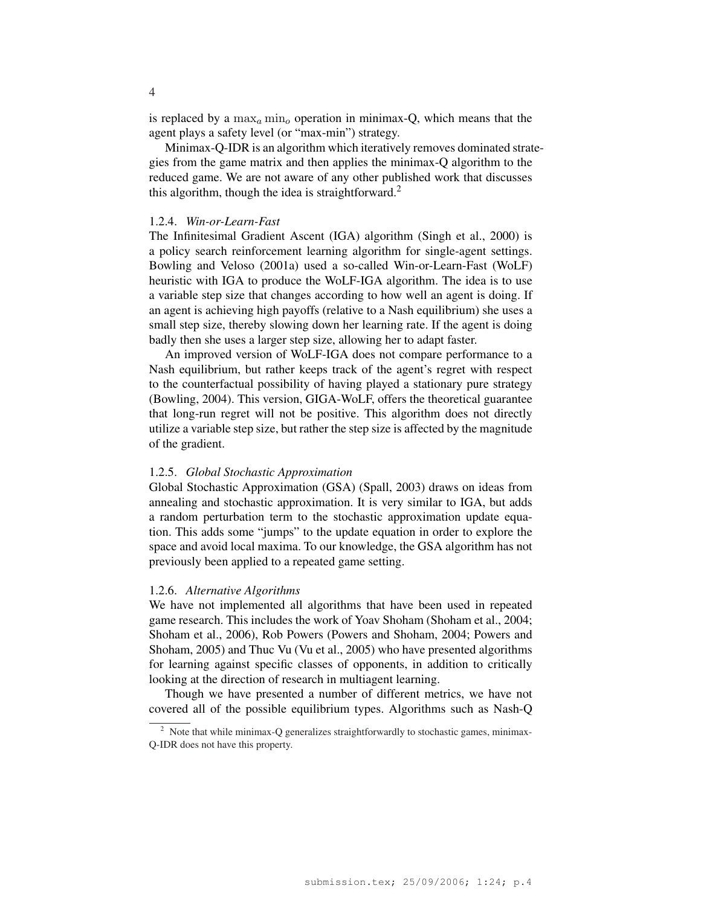is replaced by a  $\max_a \min_o$  operation in minimax-Q, which means that the agent plays a safety level (or "max-min") strategy.

Minimax-Q-IDR is an algorithm which iteratively removes dominated strategies from the game matrix and then applies the minimax-Q algorithm to the reduced game. We are not aware of any other published work that discusses this algorithm, though the idea is straightforward.<sup>2</sup>

### 1.2.4. *Win-or-Learn-Fast*

The Infinitesimal Gradient Ascent (IGA) algorithm (Singh et al., 2000) is a policy search reinforcement learning algorithm for single-agent settings. Bowling and Veloso (2001a) used a so-called Win-or-Learn-Fast (WoLF) heuristic with IGA to produce the WoLF-IGA algorithm. The idea is to use a variable step size that changes according to how well an agent is doing. If an agent is achieving high payoffs (relative to a Nash equilibrium) she uses a small step size, thereby slowing down her learning rate. If the agent is doing badly then she uses a larger step size, allowing her to adapt faster.

An improved version of WoLF-IGA does not compare performance to a Nash equilibrium, but rather keeps track of the agent's regret with respect to the counterfactual possibility of having played a stationary pure strategy (Bowling, 2004). This version, GIGA-WoLF, offers the theoretical guarantee that long-run regret will not be positive. This algorithm does not directly utilize a variable step size, but rather the step size is affected by the magnitude of the gradient.

## 1.2.5. *Global Stochastic Approximation*

Global Stochastic Approximation (GSA) (Spall, 2003) draws on ideas from annealing and stochastic approximation. It is very similar to IGA, but adds a random perturbation term to the stochastic approximation update equation. This adds some "jumps" to the update equation in order to explore the space and avoid local maxima. To our knowledge, the GSA algorithm has not previously been applied to a repeated game setting.

# 1.2.6. *Alternative Algorithms*

We have not implemented all algorithms that have been used in repeated game research. This includes the work of Yoav Shoham (Shoham et al., 2004; Shoham et al., 2006), Rob Powers (Powers and Shoham, 2004; Powers and Shoham, 2005) and Thuc Vu (Vu et al., 2005) who have presented algorithms for learning against specific classes of opponents, in addition to critically looking at the direction of research in multiagent learning.

Though we have presented a number of different metrics, we have not covered all of the possible equilibrium types. Algorithms such as Nash-Q

 $2$  Note that while minimax-Q generalizes straightforwardly to stochastic games, minimax-Q-IDR does not have this property.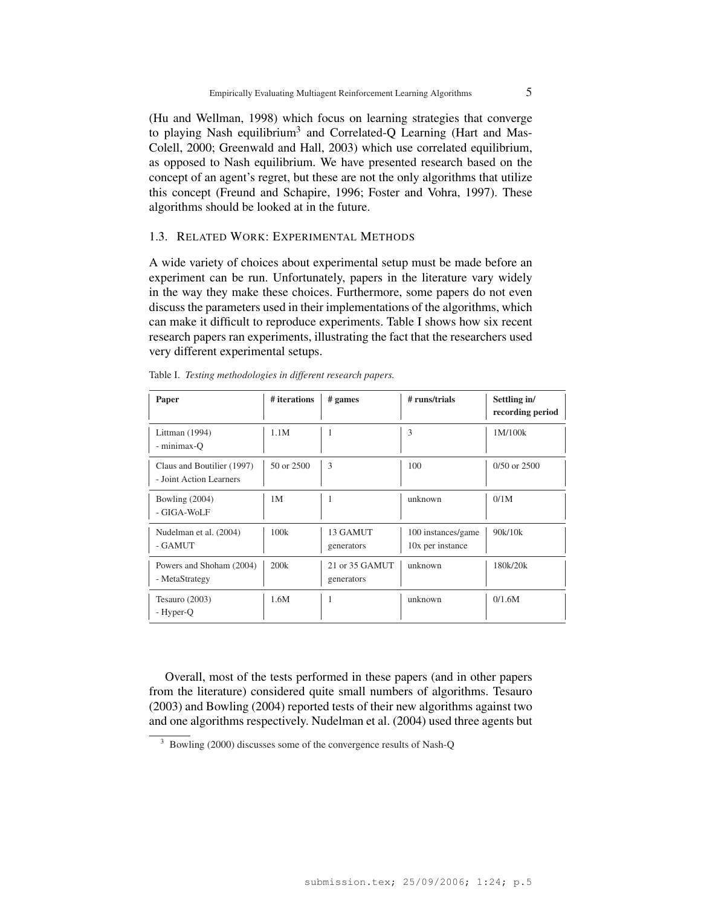(Hu and Wellman, 1998) which focus on learning strategies that converge to playing Nash equilibrium<sup>3</sup> and Correlated-Q Learning (Hart and Mas-Colell, 2000; Greenwald and Hall, 2003) which use correlated equilibrium, as opposed to Nash equilibrium. We have presented research based on the concept of an agent's regret, but these are not the only algorithms that utilize this concept (Freund and Schapire, 1996; Foster and Vohra, 1997). These algorithms should be looked at in the future.

### 1.3. RELATED WORK: EXPERIMENTAL METHODS

A wide variety of choices about experimental setup must be made before an experiment can be run. Unfortunately, papers in the literature vary widely in the way they make these choices. Furthermore, some papers do not even discuss the parameters used in their implementations of the algorithms, which can make it difficult to reproduce experiments. Table I shows how six recent research papers ran experiments, illustrating the fact that the researchers used very different experimental setups.

| Paper                                                 | # iterations   | # <sub>games</sub>           | # runs/trials                          | Settling in/<br>recording period |
|-------------------------------------------------------|----------------|------------------------------|----------------------------------------|----------------------------------|
| Littman (1994)<br>- minimax-O                         | 1.1M           | 1                            | 3                                      | 1M/100k                          |
| Claus and Boutilier (1997)<br>- Joint Action Learners | 50 or 2500     | 3                            | 100                                    | $0/50$ or $2500$                 |
| Bowling $(2004)$<br>- GIGA-WoLF                       | 1 <sub>M</sub> | 1                            | unknown                                | 0/1M                             |
| Nudelman et al. (2004)<br>- GAMUT                     | 100k           | 13 GAMUT<br>generators       | 100 instances/game<br>10x per instance | 90k/10k                          |
| Powers and Shoham (2004)<br>- MetaStrategy            | 200k           | 21 or 35 GAMUT<br>generators | unknown                                | 180k/20k                         |
| Tesauro $(2003)$<br>- Hyper-Q                         | 1.6M           | 1                            | unknown                                | 0/1.6M                           |

Table I. *Testing methodologies in different research papers.*

Overall, most of the tests performed in these papers (and in other papers from the literature) considered quite small numbers of algorithms. Tesauro (2003) and Bowling (2004) reported tests of their new algorithms against two and one algorithms respectively. Nudelman et al. (2004) used three agents but

<sup>&</sup>lt;sup>3</sup> Bowling (2000) discusses some of the convergence results of Nash-Q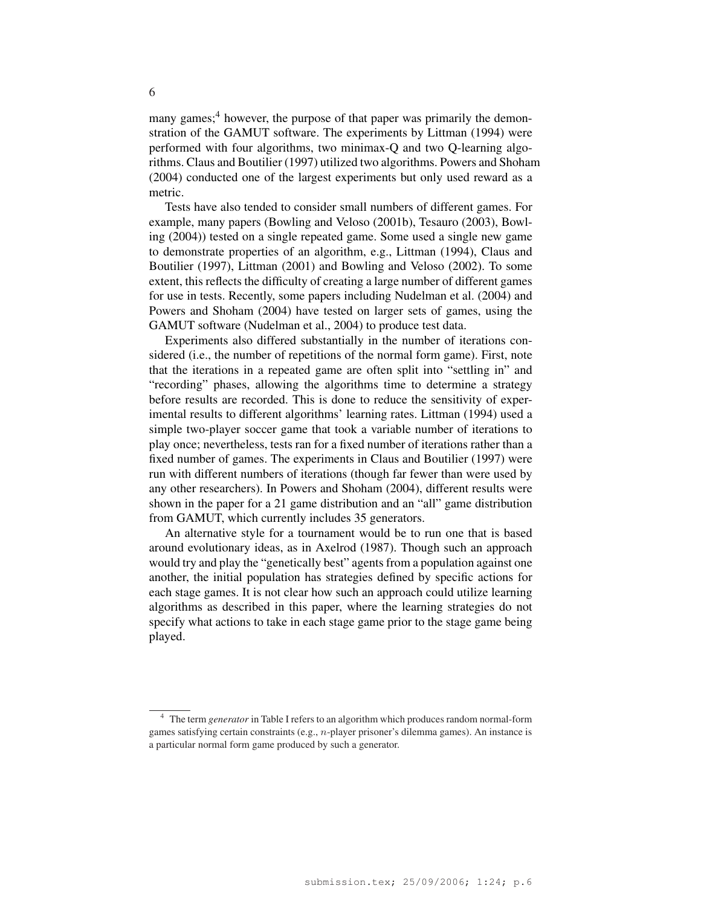many games;<sup>4</sup> however, the purpose of that paper was primarily the demonstration of the GAMUT software. The experiments by Littman (1994) were performed with four algorithms, two minimax-Q and two Q-learning algorithms. Claus and Boutilier (1997) utilized two algorithms. Powers and Shoham (2004) conducted one of the largest experiments but only used reward as a metric.

Tests have also tended to consider small numbers of different games. For example, many papers (Bowling and Veloso (2001b), Tesauro (2003), Bowling (2004)) tested on a single repeated game. Some used a single new game to demonstrate properties of an algorithm, e.g., Littman (1994), Claus and Boutilier (1997), Littman (2001) and Bowling and Veloso (2002). To some extent, this reflects the difficulty of creating a large number of different games for use in tests. Recently, some papers including Nudelman et al. (2004) and Powers and Shoham (2004) have tested on larger sets of games, using the GAMUT software (Nudelman et al., 2004) to produce test data.

Experiments also differed substantially in the number of iterations considered (i.e., the number of repetitions of the normal form game). First, note that the iterations in a repeated game are often split into "settling in" and "recording" phases, allowing the algorithms time to determine a strategy before results are recorded. This is done to reduce the sensitivity of experimental results to different algorithms' learning rates. Littman (1994) used a simple two-player soccer game that took a variable number of iterations to play once; nevertheless, tests ran for a fixed number of iterations rather than a fixed number of games. The experiments in Claus and Boutilier (1997) were run with different numbers of iterations (though far fewer than were used by any other researchers). In Powers and Shoham (2004), different results were shown in the paper for a 21 game distribution and an "all" game distribution from GAMUT, which currently includes 35 generators.

An alternative style for a tournament would be to run one that is based around evolutionary ideas, as in Axelrod (1987). Though such an approach would try and play the "genetically best" agents from a population against one another, the initial population has strategies defined by specific actions for each stage games. It is not clear how such an approach could utilize learning algorithms as described in this paper, where the learning strategies do not specify what actions to take in each stage game prior to the stage game being played.

<sup>4</sup> The term *generator* in Table I refers to an algorithm which produces random normal-form games satisfying certain constraints (e.g., n-player prisoner's dilemma games). An instance is a particular normal form game produced by such a generator.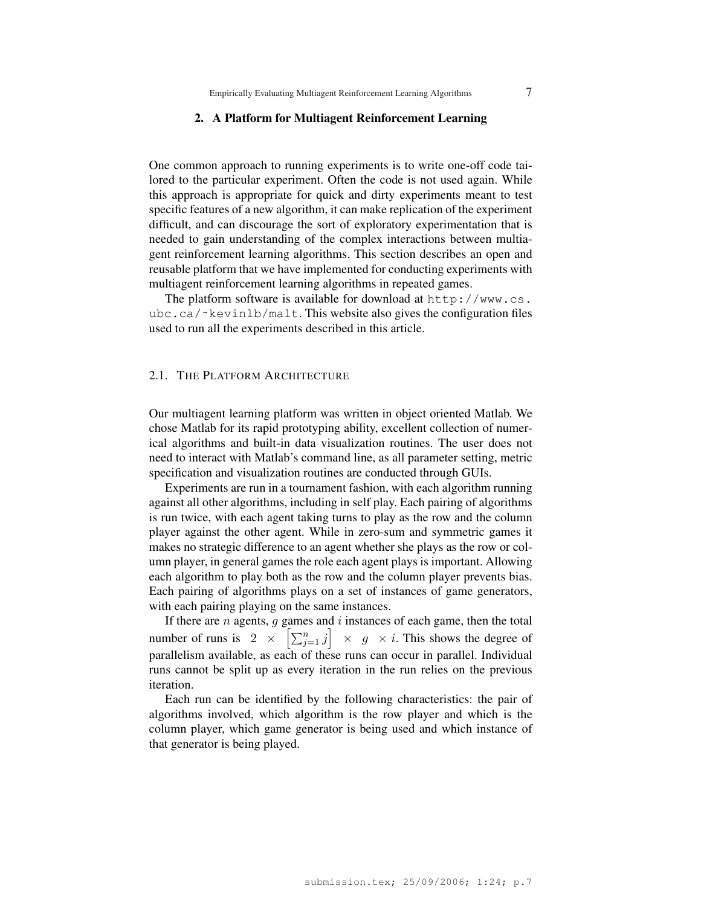#### 2. A Platform for Multiagent Reinforcement Learning

One common approach to running experiments is to write one-off code tailored to the particular experiment. Often the code is not used again. While this approach is appropriate for quick and dirty experiments meant to test specific features of a new algorithm, it can make replication of the experiment difficult, and can discourage the sort of exploratory experimentation that is needed to gain understanding of the complex interactions between multiagent reinforcement learning algorithms. This section describes an open and reusable platform that we have implemented for conducting experiments with multiagent reinforcement learning algorithms in repeated games.

The platform software is available for download at http://www.cs. ubc.ca/~kevinlb/malt. This website also gives the configuration files used to run all the experiments described in this article.

#### 2.1. THE PLATFORM ARCHITECTURE

Our multiagent learning platform was written in object oriented Matlab. We chose Matlab for its rapid prototyping ability, excellent collection of numerical algorithms and built-in data visualization routines. The user does not need to interact with Matlab's command line, as all parameter setting, metric specification and visualization routines are conducted through GUIs.

Experiments are run in a tournament fashion, with each algorithm running against all other algorithms, including in self play. Each pairing of algorithms is run twice, with each agent taking turns to play as the row and the column player against the other agent. While in zero-sum and symmetric games it makes no strategic difference to an agent whether she plays as the row or column player, in general games the role each agent plays is important. Allowing each algorithm to play both as the row and the column player prevents bias. Each pairing of algorithms plays on a set of instances of game generators, with each pairing playing on the same instances.

If there are *n* agents, g games and *i* instances of each game, then the total If there are *n* agents, g games and *i* instances of each game, then the total<br>number of runs is  $2 \times \left[\sum_{j=1}^{n} j\right] \times g \times i$ . This shows the degree of parallelism available, as each of these runs can occur in parallel. Individual runs cannot be split up as every iteration in the run relies on the previous iteration.

Each run can be identified by the following characteristics: the pair of algorithms involved, which algorithm is the row player and which is the column player, which game generator is being used and which instance of that generator is being played.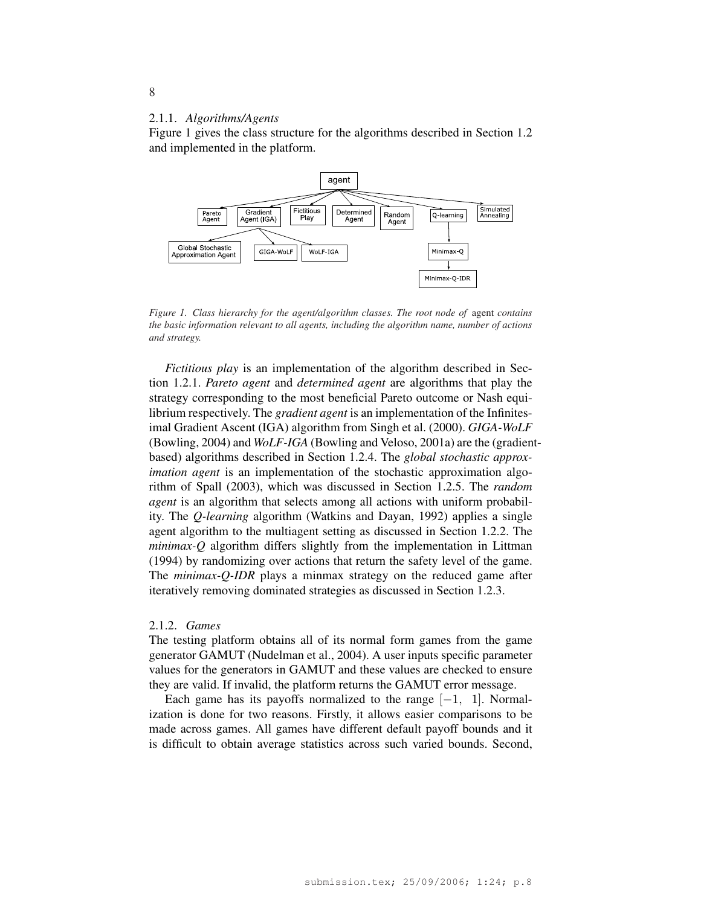#### 2.1.1. *Algorithms/Agents*

Figure 1 gives the class structure for the algorithms described in Section 1.2 and implemented in the platform.



*Figure 1. Class hierarchy for the agent/algorithm classes. The root node of* agent *contains the basic information relevant to all agents, including the algorithm name, number of actions and strategy.*

*Fictitious play* is an implementation of the algorithm described in Section 1.2.1. *Pareto agent* and *determined agent* are algorithms that play the strategy corresponding to the most beneficial Pareto outcome or Nash equilibrium respectively. The *gradient agent* is an implementation of the Infinitesimal Gradient Ascent (IGA) algorithm from Singh et al. (2000). *GIGA-WoLF* (Bowling, 2004) and *WoLF-IGA* (Bowling and Veloso, 2001a) are the (gradientbased) algorithms described in Section 1.2.4. The *global stochastic approximation agent* is an implementation of the stochastic approximation algorithm of Spall (2003), which was discussed in Section 1.2.5. The *random agent* is an algorithm that selects among all actions with uniform probability. The *Q-learning* algorithm (Watkins and Dayan, 1992) applies a single agent algorithm to the multiagent setting as discussed in Section 1.2.2. The *minimax-Q* algorithm differs slightly from the implementation in Littman (1994) by randomizing over actions that return the safety level of the game. The *minimax-Q-IDR* plays a minmax strategy on the reduced game after iteratively removing dominated strategies as discussed in Section 1.2.3.

#### 2.1.2. *Games*

The testing platform obtains all of its normal form games from the game generator GAMUT (Nudelman et al., 2004). A user inputs specific parameter values for the generators in GAMUT and these values are checked to ensure they are valid. If invalid, the platform returns the GAMUT error message.

Each game has its payoffs normalized to the range  $[-1, 1]$ . Normalization is done for two reasons. Firstly, it allows easier comparisons to be made across games. All games have different default payoff bounds and it is difficult to obtain average statistics across such varied bounds. Second,

#### 8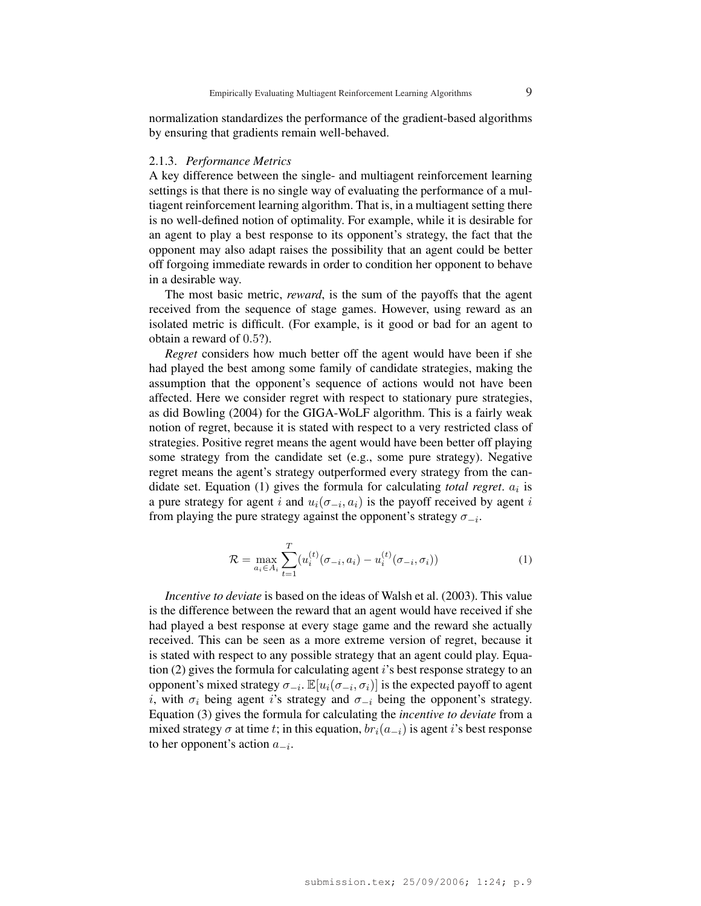normalization standardizes the performance of the gradient-based algorithms by ensuring that gradients remain well-behaved.

#### 2.1.3. *Performance Metrics*

A key difference between the single- and multiagent reinforcement learning settings is that there is no single way of evaluating the performance of a multiagent reinforcement learning algorithm. That is, in a multiagent setting there is no well-defined notion of optimality. For example, while it is desirable for an agent to play a best response to its opponent's strategy, the fact that the opponent may also adapt raises the possibility that an agent could be better off forgoing immediate rewards in order to condition her opponent to behave in a desirable way.

The most basic metric, *reward*, is the sum of the payoffs that the agent received from the sequence of stage games. However, using reward as an isolated metric is difficult. (For example, is it good or bad for an agent to obtain a reward of 0.5?).

*Regret* considers how much better off the agent would have been if she had played the best among some family of candidate strategies, making the assumption that the opponent's sequence of actions would not have been affected. Here we consider regret with respect to stationary pure strategies, as did Bowling (2004) for the GIGA-WoLF algorithm. This is a fairly weak notion of regret, because it is stated with respect to a very restricted class of strategies. Positive regret means the agent would have been better off playing some strategy from the candidate set (e.g., some pure strategy). Negative regret means the agent's strategy outperformed every strategy from the candidate set. Equation  $(1)$  gives the formula for calculating *total regret*.  $a_i$  is a pure strategy for agent i and  $u_i(\sigma_{-i}, a_i)$  is the payoff received by agent i from playing the pure strategy against the opponent's strategy  $\sigma_{-i}$ .

$$
\mathcal{R} = \max_{a_i \in A_i} \sum_{t=1}^{T} (u_i^{(t)}(\sigma_{-i}, a_i) - u_i^{(t)}(\sigma_{-i}, \sigma_i))
$$
(1)

*Incentive to deviate* is based on the ideas of Walsh et al. (2003). This value is the difference between the reward that an agent would have received if she had played a best response at every stage game and the reward she actually received. This can be seen as a more extreme version of regret, because it is stated with respect to any possible strategy that an agent could play. Equation (2) gives the formula for calculating agent  $i$ 's best response strategy to an opponent's mixed strategy  $\sigma_{-i}$ .  $\mathbb{E}[u_i(\sigma_{-i}, \sigma_i)]$  is the expected payoff to agent i, with  $\sigma_i$  being agent i's strategy and  $\sigma_{-i}$  being the opponent's strategy. Equation (3) gives the formula for calculating the *incentive to deviate* from a mixed strategy  $\sigma$  at time t; in this equation,  $br_i(a_{-i})$  is agent i's best response to her opponent's action  $a_{-i}$ .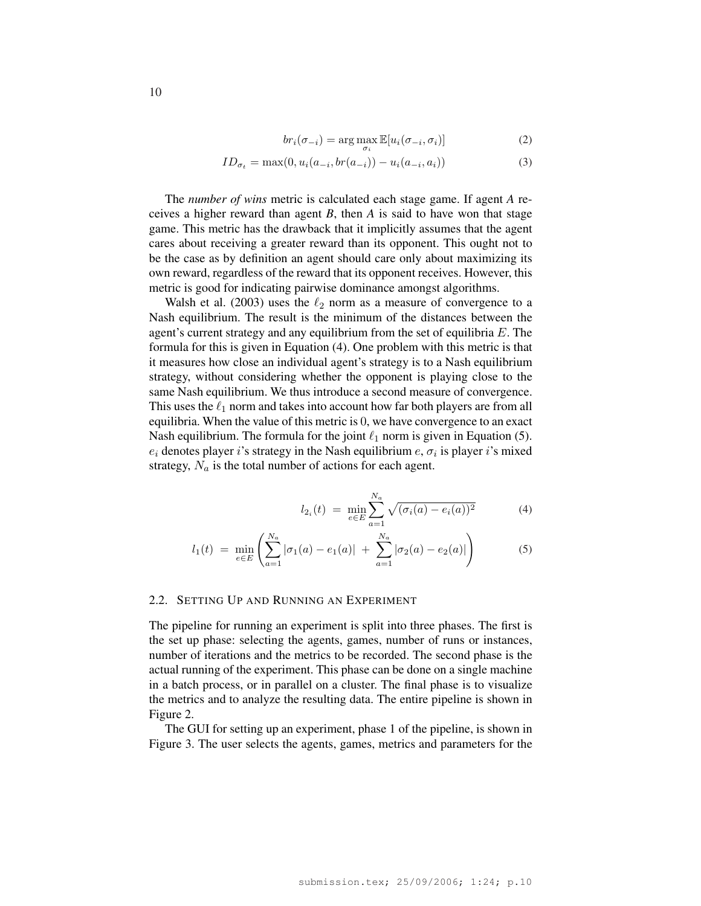$$
br_i(\sigma_{-i}) = \arg \max_{\sigma_i} \mathbb{E}[u_i(\sigma_{-i}, \sigma_i)] \tag{2}
$$

$$
ID_{\sigma_t} = \max(0, u_i(a_{-i}, br(a_{-i})) - u_i(a_{-i}, a_i))
$$
\n(3)

The *number of wins* metric is calculated each stage game. If agent *A* receives a higher reward than agent *B*, then *A* is said to have won that stage game. This metric has the drawback that it implicitly assumes that the agent cares about receiving a greater reward than its opponent. This ought not to be the case as by definition an agent should care only about maximizing its own reward, regardless of the reward that its opponent receives. However, this metric is good for indicating pairwise dominance amongst algorithms.

Walsh et al. (2003) uses the  $\ell_2$  norm as a measure of convergence to a Nash equilibrium. The result is the minimum of the distances between the agent's current strategy and any equilibrium from the set of equilibria  $E$ . The formula for this is given in Equation (4). One problem with this metric is that it measures how close an individual agent's strategy is to a Nash equilibrium strategy, without considering whether the opponent is playing close to the same Nash equilibrium. We thus introduce a second measure of convergence. This uses the  $\ell_1$  norm and takes into account how far both players are from all equilibria. When the value of this metric is 0, we have convergence to an exact Nash equilibrium. The formula for the joint  $\ell_1$  norm is given in Equation (5).  $e_i$  denotes player i's strategy in the Nash equilibrium  $e$ ,  $\sigma_i$  is player i's mixed strategy,  $N_a$  is the total number of actions for each agent.

$$
l_{2_i}(t) = \min_{e \in E} \sum_{a=1}^{N_a} \sqrt{(\sigma_i(a) - e_i(a))^2}
$$
 (4)

$$
l_1(t) = \min_{e \in E} \left( \sum_{a=1}^{N_a} |\sigma_1(a) - e_1(a)| + \sum_{a=1}^{N_a} |\sigma_2(a) - e_2(a)| \right)
$$
 (5)

## 2.2. SETTING UP AND RUNNING AN EXPERIMENT

The pipeline for running an experiment is split into three phases. The first is the set up phase: selecting the agents, games, number of runs or instances, number of iterations and the metrics to be recorded. The second phase is the actual running of the experiment. This phase can be done on a single machine in a batch process, or in parallel on a cluster. The final phase is to visualize the metrics and to analyze the resulting data. The entire pipeline is shown in Figure 2.

The GUI for setting up an experiment, phase 1 of the pipeline, is shown in Figure 3. The user selects the agents, games, metrics and parameters for the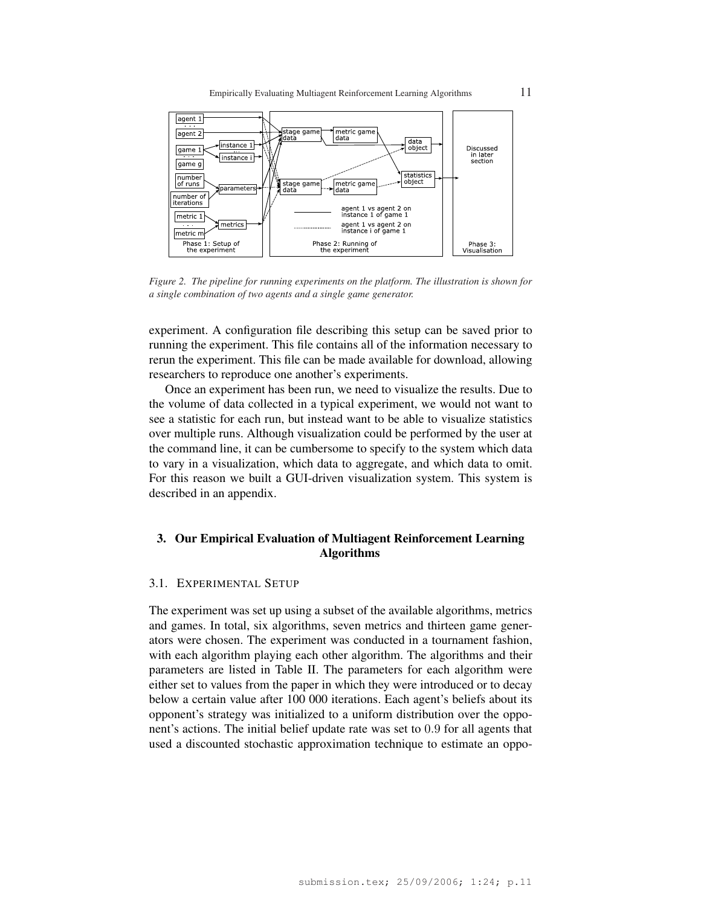

*Figure 2. The pipeline for running experiments on the platform. The illustration is shown for a single combination of two agents and a single game generator.*

experiment. A configuration file describing this setup can be saved prior to running the experiment. This file contains all of the information necessary to rerun the experiment. This file can be made available for download, allowing researchers to reproduce one another's experiments.

Once an experiment has been run, we need to visualize the results. Due to the volume of data collected in a typical experiment, we would not want to see a statistic for each run, but instead want to be able to visualize statistics over multiple runs. Although visualization could be performed by the user at the command line, it can be cumbersome to specify to the system which data to vary in a visualization, which data to aggregate, and which data to omit. For this reason we built a GUI-driven visualization system. This system is described in an appendix.

# 3. Our Empirical Evaluation of Multiagent Reinforcement Learning Algorithms

### 3.1. EXPERIMENTAL SETUP

The experiment was set up using a subset of the available algorithms, metrics and games. In total, six algorithms, seven metrics and thirteen game generators were chosen. The experiment was conducted in a tournament fashion, with each algorithm playing each other algorithm. The algorithms and their parameters are listed in Table II. The parameters for each algorithm were either set to values from the paper in which they were introduced or to decay below a certain value after 100 000 iterations. Each agent's beliefs about its opponent's strategy was initialized to a uniform distribution over the opponent's actions. The initial belief update rate was set to 0.9 for all agents that used a discounted stochastic approximation technique to estimate an oppo-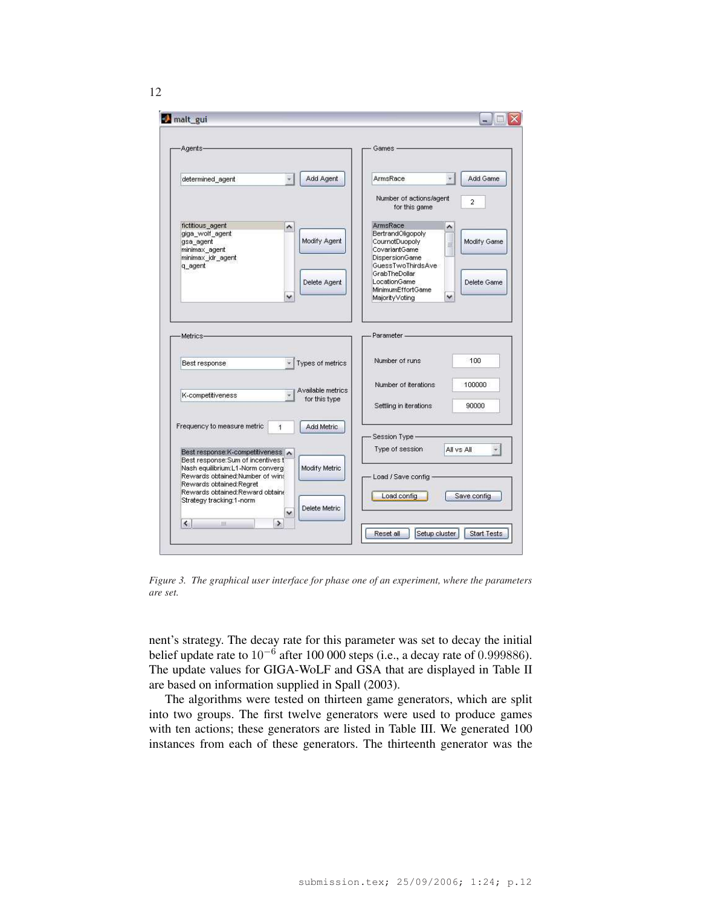

*Figure 3. The graphical user interface for phase one of an experiment, where the parameters are set.*

nent's strategy. The decay rate for this parameter was set to decay the initial belief update rate to  $10^{-6}$  after 100 000 steps (i.e., a decay rate of 0.999886). The update values for GIGA-WoLF and GSA that are displayed in Table II are based on information supplied in Spall (2003).

The algorithms were tested on thirteen game generators, which are split into two groups. The first twelve generators were used to produce games with ten actions; these generators are listed in Table III. We generated 100 instances from each of these generators. The thirteenth generator was the

12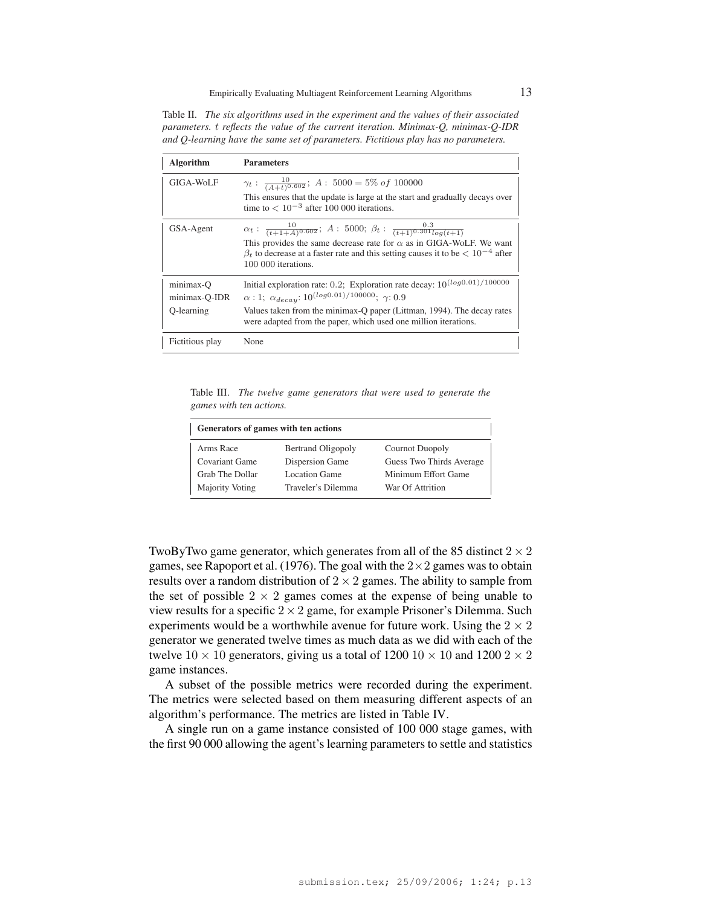Table II. *The six algorithms used in the experiment and the values of their associated parameters.* t *reflects the value of the current iteration. Minimax-Q, minimax-Q-IDR and Q-learning have the same set of parameters. Fictitious play has no parameters.*

| <b>Algorithm</b>                         | <b>Parameters</b>                                                                                                                                                                                                                                                                                                |
|------------------------------------------|------------------------------------------------------------------------------------------------------------------------------------------------------------------------------------------------------------------------------------------------------------------------------------------------------------------|
| GIGA-WoLF                                | $\gamma_t: \frac{10}{(A+t)^{0.602}}$ ; A: 5000 = 5% of 100000<br>This ensures that the update is large at the start and gradually decays over<br>time to $< 10^{-3}$ after 100 000 iterations.                                                                                                                   |
| GSA-Agent                                | $\alpha_t$ : $\frac{10}{(t+1+A)^{0.602}}$ ; A : 5000; $\beta_t$ : $\frac{0.3}{(t+1)^{0.301} \log(t+1)}$<br>This provides the same decrease rate for $\alpha$ as in GIGA-WoLF. We want<br>$\beta_t$ to decrease at a faster rate and this setting causes it to be $\lt 10^{-4}$ after<br>100 000 iterations.      |
| minimax-O<br>minimax-Q-IDR<br>O-learning | Initial exploration rate: 0.2; Exploration rate decay: $10^{(log 0.01)/100000}$<br>$\alpha$ : 1; $\alpha_{decay}$ : 10 <sup>(log0.01)/100000</sup> ; $\gamma$ : 0.9<br>Values taken from the minimax-Q paper (Littman, 1994). The decay rates<br>were adapted from the paper, which used one million iterations. |
| Fictitious play                          | None                                                                                                                                                                                                                                                                                                             |

Table III. *The twelve game generators that were used to generate the games with ten actions.*

| Generators of games with ten actions |                    |                          |  |  |  |  |
|--------------------------------------|--------------------|--------------------------|--|--|--|--|
| Arms Race                            | Bertrand Oligopoly | <b>Cournot Duopoly</b>   |  |  |  |  |
| <b>Covariant Game</b>                | Dispersion Game    | Guess Two Thirds Average |  |  |  |  |
| Grab The Dollar                      | Location Game      | Minimum Effort Game      |  |  |  |  |
| Majority Voting                      | Traveler's Dilemma | War Of Attrition         |  |  |  |  |

TwoByTwo game generator, which generates from all of the 85 distinct  $2 \times 2$ games, see Rapoport et al. (1976). The goal with the  $2 \times 2$  games was to obtain results over a random distribution of  $2 \times 2$  games. The ability to sample from the set of possible  $2 \times 2$  games comes at the expense of being unable to view results for a specific  $2 \times 2$  game, for example Prisoner's Dilemma. Such experiments would be a worthwhile avenue for future work. Using the  $2 \times 2$ generator we generated twelve times as much data as we did with each of the twelve  $10 \times 10$  generators, giving us a total of  $1200 \, 10 \times 10$  and  $1200 \, 2 \times 2$ game instances.

A subset of the possible metrics were recorded during the experiment. The metrics were selected based on them measuring different aspects of an algorithm's performance. The metrics are listed in Table IV.

A single run on a game instance consisted of 100 000 stage games, with the first 90 000 allowing the agent's learning parameters to settle and statistics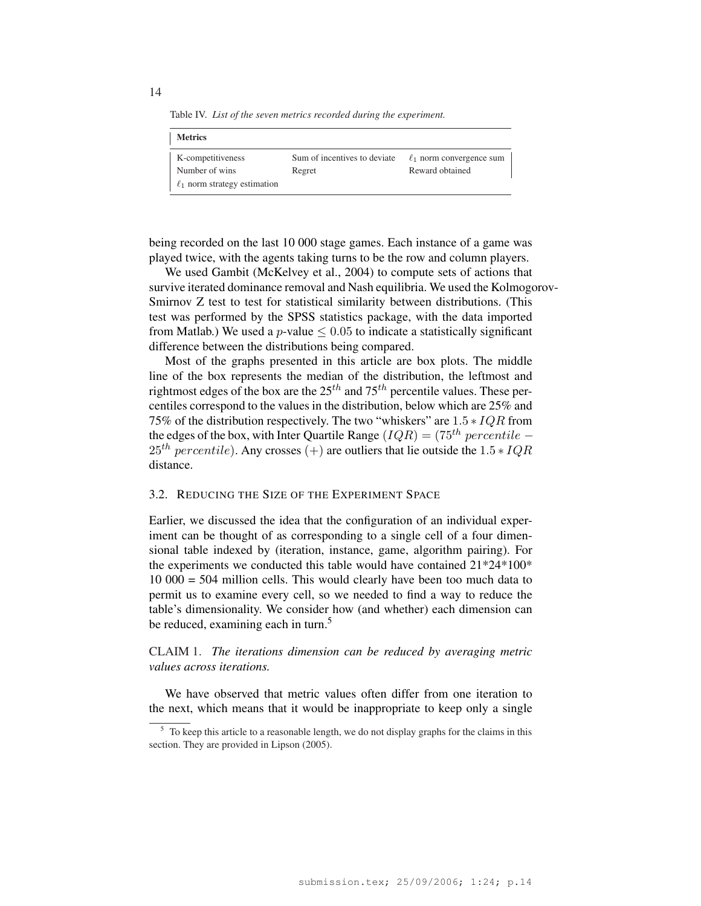Table IV. *List of the seven metrics recorded during the experiment.*

| <b>Metrics</b>                    |                              |                               |
|-----------------------------------|------------------------------|-------------------------------|
| K-competitiveness                 | Sum of incentives to deviate | $\ell_1$ norm convergence sum |
| Number of wins                    | Regret                       | Reward obtained               |
| $\ell_1$ norm strategy estimation |                              |                               |

being recorded on the last 10 000 stage games. Each instance of a game was played twice, with the agents taking turns to be the row and column players.

We used Gambit (McKelvey et al., 2004) to compute sets of actions that survive iterated dominance removal and Nash equilibria. We used the Kolmogorov-Smirnov Z test to test for statistical similarity between distributions. (This test was performed by the SPSS statistics package, with the data imported from Matlab.) We used a *p*-value  $\leq 0.05$  to indicate a statistically significant difference between the distributions being compared.

Most of the graphs presented in this article are box plots. The middle line of the box represents the median of the distribution, the leftmost and rightmost edges of the box are the  $25<sup>th</sup>$  and  $75<sup>th</sup>$  percentile values. These percentiles correspond to the values in the distribution, below which are 25% and 75% of the distribution respectively. The two "whiskers" are  $1.5 * IQR$  from the edges of the box, with Inter Quartile Range ( $IQR$ ) = (75<sup>th</sup> percentile –  $25<sup>th</sup> percentile$ ). Any crosses (+) are outliers that lie outside the  $1.5 * IQR$ distance.

#### 3.2. REDUCING THE SIZE OF THE EXPERIMENT SPACE

Earlier, we discussed the idea that the configuration of an individual experiment can be thought of as corresponding to a single cell of a four dimensional table indexed by (iteration, instance, game, algorithm pairing). For the experiments we conducted this table would have contained 21\*24\*100\* 10 000 = 504 million cells. This would clearly have been too much data to permit us to examine every cell, so we needed to find a way to reduce the table's dimensionality. We consider how (and whether) each dimension can be reduced, examining each in turn.<sup>5</sup>

CLAIM 1. *The iterations dimension can be reduced by averaging metric values across iterations.*

We have observed that metric values often differ from one iteration to the next, which means that it would be inappropriate to keep only a single

14

 $<sup>5</sup>$  To keep this article to a reasonable length, we do not display graphs for the claims in this</sup> section. They are provided in Lipson (2005).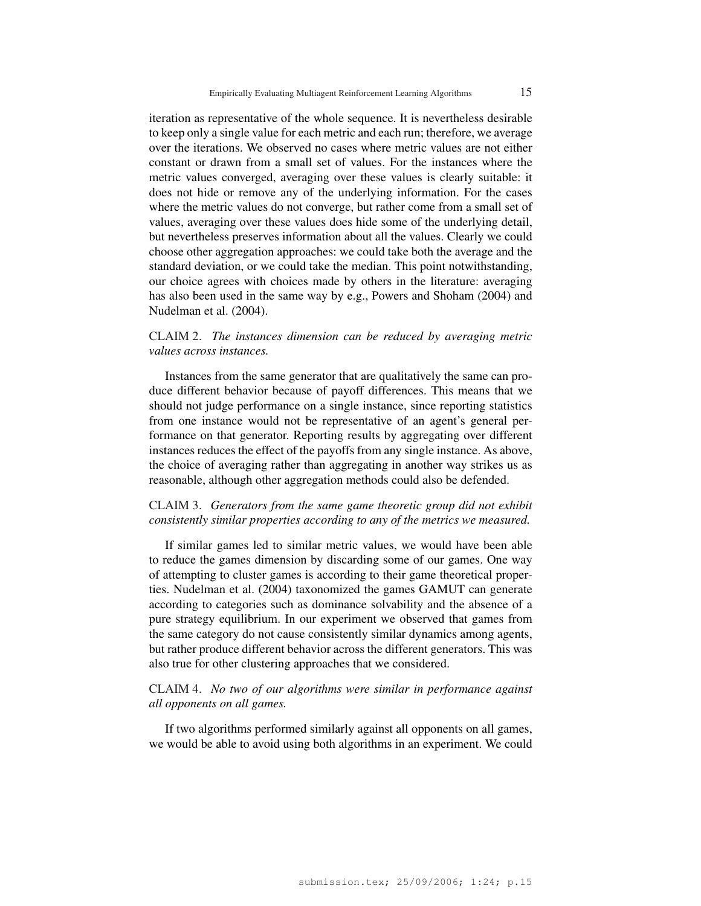iteration as representative of the whole sequence. It is nevertheless desirable to keep only a single value for each metric and each run; therefore, we average over the iterations. We observed no cases where metric values are not either constant or drawn from a small set of values. For the instances where the metric values converged, averaging over these values is clearly suitable: it does not hide or remove any of the underlying information. For the cases where the metric values do not converge, but rather come from a small set of values, averaging over these values does hide some of the underlying detail, but nevertheless preserves information about all the values. Clearly we could choose other aggregation approaches: we could take both the average and the standard deviation, or we could take the median. This point notwithstanding, our choice agrees with choices made by others in the literature: averaging has also been used in the same way by e.g., Powers and Shoham (2004) and Nudelman et al. (2004).

# CLAIM 2. *The instances dimension can be reduced by averaging metric values across instances.*

Instances from the same generator that are qualitatively the same can produce different behavior because of payoff differences. This means that we should not judge performance on a single instance, since reporting statistics from one instance would not be representative of an agent's general performance on that generator. Reporting results by aggregating over different instances reduces the effect of the payoffs from any single instance. As above, the choice of averaging rather than aggregating in another way strikes us as reasonable, although other aggregation methods could also be defended.

# CLAIM 3. *Generators from the same game theoretic group did not exhibit consistently similar properties according to any of the metrics we measured.*

If similar games led to similar metric values, we would have been able to reduce the games dimension by discarding some of our games. One way of attempting to cluster games is according to their game theoretical properties. Nudelman et al. (2004) taxonomized the games GAMUT can generate according to categories such as dominance solvability and the absence of a pure strategy equilibrium. In our experiment we observed that games from the same category do not cause consistently similar dynamics among agents, but rather produce different behavior across the different generators. This was also true for other clustering approaches that we considered.

# CLAIM 4. *No two of our algorithms were similar in performance against all opponents on all games.*

If two algorithms performed similarly against all opponents on all games, we would be able to avoid using both algorithms in an experiment. We could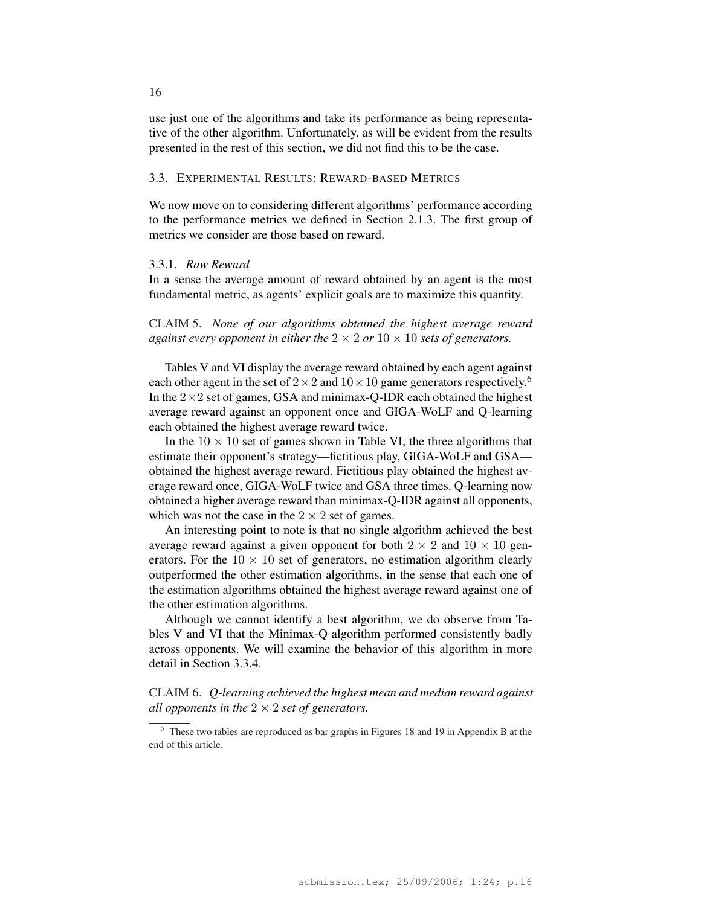use just one of the algorithms and take its performance as being representative of the other algorithm. Unfortunately, as will be evident from the results presented in the rest of this section, we did not find this to be the case.

### 3.3. EXPERIMENTAL RESULTS: REWARD-BASED METRICS

We now move on to considering different algorithms' performance according to the performance metrics we defined in Section 2.1.3. The first group of metrics we consider are those based on reward.

# 3.3.1. *Raw Reward*

In a sense the average amount of reward obtained by an agent is the most fundamental metric, as agents' explicit goals are to maximize this quantity.

CLAIM 5. *None of our algorithms obtained the highest average reward against every opponent in either the*  $2 \times 2$  *or*  $10 \times 10$  *sets of generators.* 

Tables V and VI display the average reward obtained by each agent against each other agent in the set of  $2 \times 2$  and  $10 \times 10$  game generators respectively.<sup>6</sup> In the  $2 \times 2$  set of games, GSA and minimax-Q-IDR each obtained the highest average reward against an opponent once and GIGA-WoLF and Q-learning each obtained the highest average reward twice.

In the  $10 \times 10$  set of games shown in Table VI, the three algorithms that estimate their opponent's strategy—fictitious play, GIGA-WoLF and GSA obtained the highest average reward. Fictitious play obtained the highest average reward once, GIGA-WoLF twice and GSA three times. Q-learning now obtained a higher average reward than minimax-Q-IDR against all opponents, which was not the case in the  $2 \times 2$  set of games.

An interesting point to note is that no single algorithm achieved the best average reward against a given opponent for both  $2 \times 2$  and  $10 \times 10$  generators. For the  $10 \times 10$  set of generators, no estimation algorithm clearly outperformed the other estimation algorithms, in the sense that each one of the estimation algorithms obtained the highest average reward against one of the other estimation algorithms.

Although we cannot identify a best algorithm, we do observe from Tables V and VI that the Minimax-Q algorithm performed consistently badly across opponents. We will examine the behavior of this algorithm in more detail in Section 3.3.4.

CLAIM 6. *Q-learning achieved the highest mean and median reward against all opponents in the*  $2 \times 2$  *set of generators.* 

16

<sup>&</sup>lt;sup>6</sup> These two tables are reproduced as bar graphs in Figures 18 and 19 in Appendix B at the end of this article.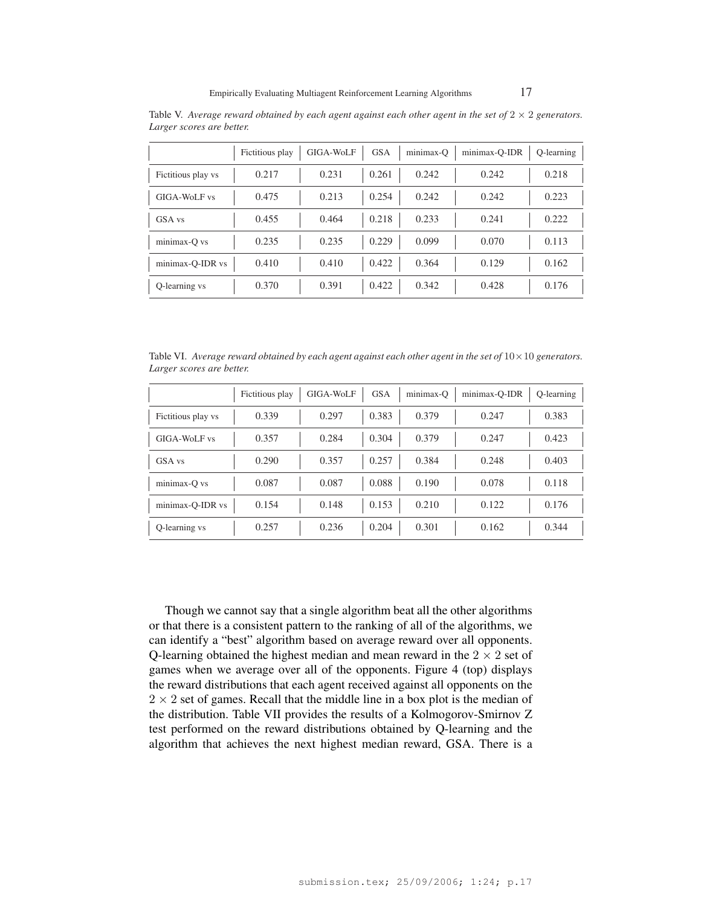|                    | Fictitious play | GIGA-WoLF | <b>GSA</b> | minimax-O | minimax-Q-IDR | O-learning |
|--------------------|-----------------|-----------|------------|-----------|---------------|------------|
| Fictitious play vs | 0.217           | 0.231     | 0.261      | 0.242     | 0.242         | 0.218      |
| GIGA-WoLF vs       | 0.475           | 0.213     | 0.254      | 0.242     | 0.242         | 0.223      |
| GSA vs             | 0.455           | 0.464     | 0.218      | 0.233     | 0.241         | 0.222      |
| minimax-Q vs       | 0.235           | 0.235     | 0.229      | 0.099     | 0.070         | 0.113      |
| minimax-O-IDR vs   | 0.410           | 0.410     | 0.422      | 0.364     | 0.129         | 0.162      |
| Q-learning vs      | 0.370           | 0.391     | 0.422      | 0.342     | 0.428         | 0.176      |

Table V. *Average reward obtained by each agent against each other agent in the set of*  $2 \times 2$  *generators. Larger scores are better.*

Table VI. *Average reward obtained by each agent against each other agent in the set of*  $10 \times 10$  *generators. Larger scores are better.*

|                    | Fictitious play | GIGA-WoLF | <b>GSA</b> | minimax-Q | minimax-Q-IDR | O-learning |
|--------------------|-----------------|-----------|------------|-----------|---------------|------------|
| Fictitious play vs | 0.339           | 0.297     | 0.383      | 0.379     | 0.247         | 0.383      |
| GIGA-WoLF vs       | 0.357           | 0.284     | 0.304      | 0.379     | 0.247         | 0.423      |
| GSA vs             | 0.290           | 0.357     | 0.257      | 0.384     | 0.248         | 0.403      |
| minimax-Q vs       | 0.087           | 0.087     | 0.088      | 0.190     | 0.078         | 0.118      |
| minimax-Q-IDR vs   | 0.154           | 0.148     | 0.153      | 0.210     | 0.122         | 0.176      |
| Q-learning vs      | 0.257           | 0.236     | 0.204      | 0.301     | 0.162         | 0.344      |

Though we cannot say that a single algorithm beat all the other algorithms or that there is a consistent pattern to the ranking of all of the algorithms, we can identify a "best" algorithm based on average reward over all opponents. Q-learning obtained the highest median and mean reward in the  $2 \times 2$  set of games when we average over all of the opponents. Figure 4 (top) displays the reward distributions that each agent received against all opponents on the  $2 \times 2$  set of games. Recall that the middle line in a box plot is the median of the distribution. Table VII provides the results of a Kolmogorov-Smirnov Z test performed on the reward distributions obtained by Q-learning and the algorithm that achieves the next highest median reward, GSA. There is a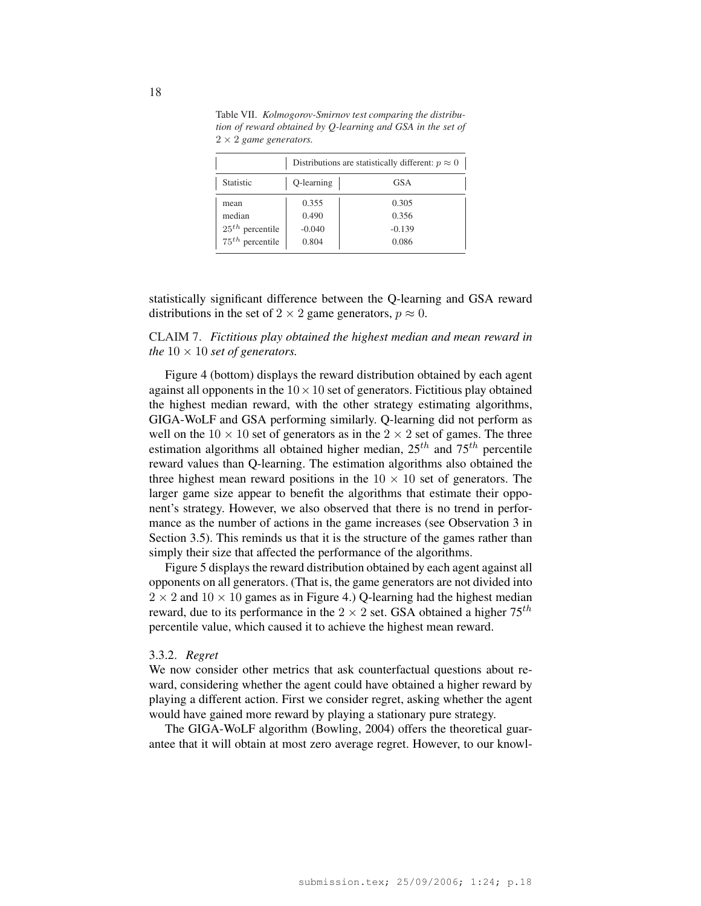|                                                          | Distributions are statistically different: $p \approx 0$ |                                     |  |  |  |  |
|----------------------------------------------------------|----------------------------------------------------------|-------------------------------------|--|--|--|--|
| <b>Statistic</b>                                         | Q-learning                                               | <b>GSA</b>                          |  |  |  |  |
| mean<br>median<br>$25th$ percentile<br>$75th$ percentile | 0.355<br>0.490<br>$-0.040$<br>0.804                      | 0.305<br>0.356<br>$-0.139$<br>0.086 |  |  |  |  |

Table VII. *Kolmogorov-Smirnov test comparing the distribution of reward obtained by Q-learning and GSA in the set of* 2 × 2 *game generators.*

statistically significant difference between the Q-learning and GSA reward distributions in the set of  $2 \times 2$  game generators,  $p \approx 0$ .

# CLAIM 7. *Fictitious play obtained the highest median and mean reward in the*  $10 \times 10$  *set of generators.*

Figure 4 (bottom) displays the reward distribution obtained by each agent against all opponents in the  $10 \times 10$  set of generators. Fictitious play obtained the highest median reward, with the other strategy estimating algorithms, GIGA-WoLF and GSA performing similarly. Q-learning did not perform as well on the  $10 \times 10$  set of generators as in the  $2 \times 2$  set of games. The three estimation algorithms all obtained higher median,  $25^{th}$  and  $75^{th}$  percentile reward values than Q-learning. The estimation algorithms also obtained the three highest mean reward positions in the  $10 \times 10$  set of generators. The larger game size appear to benefit the algorithms that estimate their opponent's strategy. However, we also observed that there is no trend in performance as the number of actions in the game increases (see Observation 3 in Section 3.5). This reminds us that it is the structure of the games rather than simply their size that affected the performance of the algorithms.

Figure 5 displays the reward distribution obtained by each agent against all opponents on all generators. (That is, the game generators are not divided into  $2 \times 2$  and  $10 \times 10$  games as in Figure 4.) Q-learning had the highest median reward, due to its performance in the  $2 \times 2$  set. GSA obtained a higher  $75^{th}$ percentile value, which caused it to achieve the highest mean reward.

#### 3.3.2. *Regret*

We now consider other metrics that ask counterfactual questions about reward, considering whether the agent could have obtained a higher reward by playing a different action. First we consider regret, asking whether the agent would have gained more reward by playing a stationary pure strategy.

The GIGA-WoLF algorithm (Bowling, 2004) offers the theoretical guarantee that it will obtain at most zero average regret. However, to our knowl-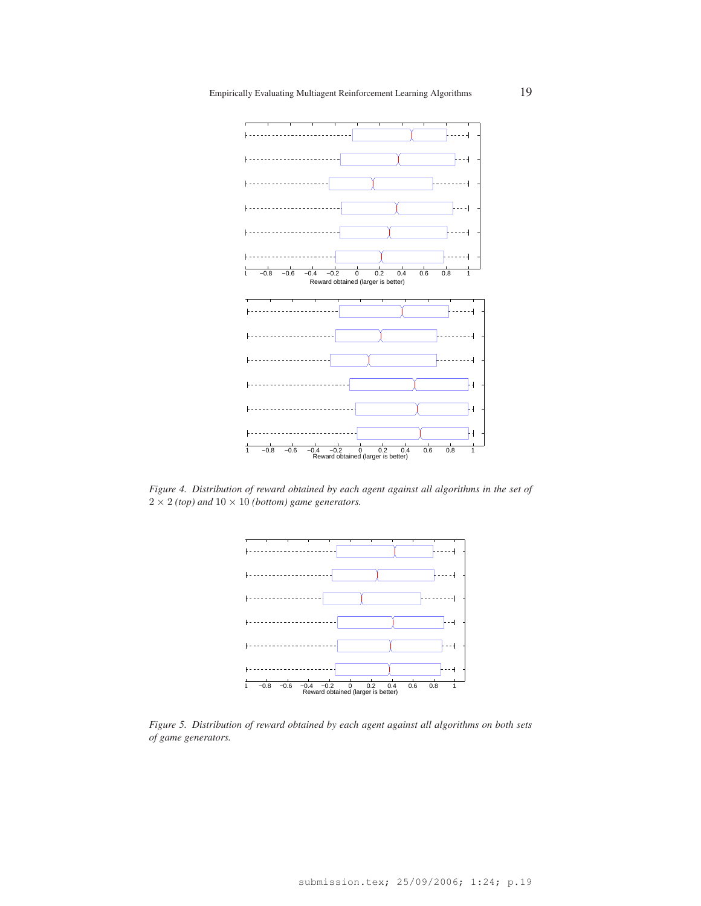

*Figure 4. Distribution of reward obtained by each agent against all algorithms in the set of*  $2 \times 2$  *(top)* and  $10 \times 10$  *(bottom)* game generators.



*Figure 5. Distribution of reward obtained by each agent against all algorithms on both sets of game generators.*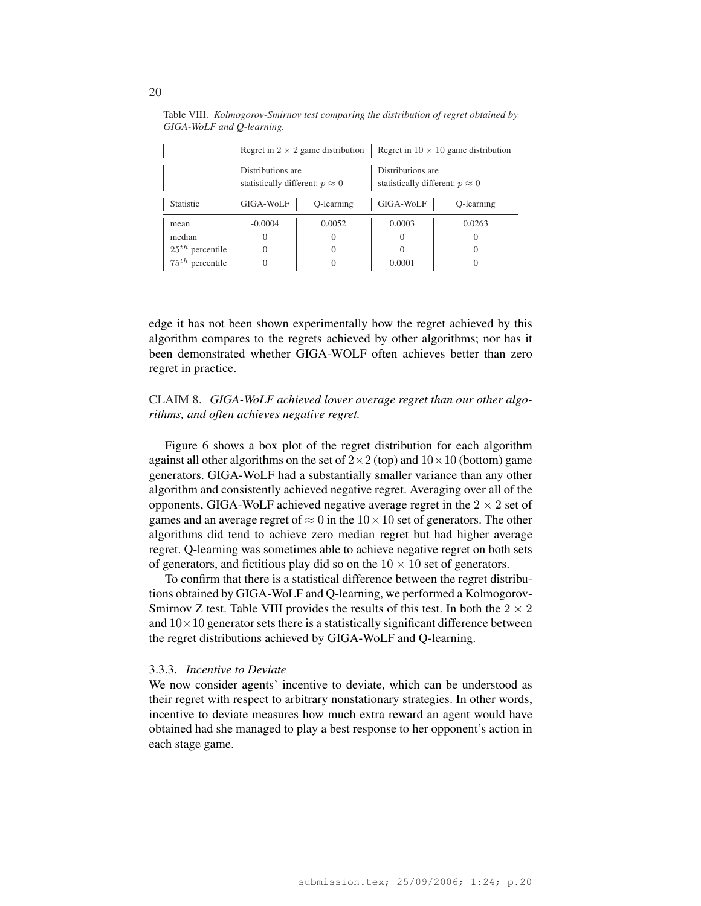|                   |                                                             | Regret in $2 \times 2$ game distribution | Regret in $10 \times 10$ game distribution                  |            |  |
|-------------------|-------------------------------------------------------------|------------------------------------------|-------------------------------------------------------------|------------|--|
|                   | Distributions are<br>statistically different: $p \approx 0$ |                                          | Distributions are<br>statistically different: $p \approx 0$ |            |  |
| <b>Statistic</b>  | GIGA-WoLF<br>Q-learning                                     |                                          | GIGA-WoLF                                                   | Q-learning |  |
| mean              | $-0.0004$                                                   | 0.0052                                   | 0.0003                                                      | 0.0263     |  |
| median            |                                                             |                                          |                                                             |            |  |
| $25th$ percentile |                                                             |                                          |                                                             |            |  |
| $75th$ percentile |                                                             |                                          | 0.0001                                                      |            |  |

Table VIII. *Kolmogorov-Smirnov test comparing the distribution of regret obtained by GIGA-WoLF and Q-learning.*

edge it has not been shown experimentally how the regret achieved by this algorithm compares to the regrets achieved by other algorithms; nor has it been demonstrated whether GIGA-WOLF often achieves better than zero regret in practice.

# CLAIM 8. *GIGA-WoLF achieved lower average regret than our other algorithms, and often achieves negative regret.*

Figure 6 shows a box plot of the regret distribution for each algorithm against all other algorithms on the set of  $2 \times 2$  (top) and  $10 \times 10$  (bottom) game generators. GIGA-WoLF had a substantially smaller variance than any other algorithm and consistently achieved negative regret. Averaging over all of the opponents, GIGA-WoLF achieved negative average regret in the  $2 \times 2$  set of games and an average regret of  $\approx 0$  in the  $10 \times 10$  set of generators. The other algorithms did tend to achieve zero median regret but had higher average regret. Q-learning was sometimes able to achieve negative regret on both sets of generators, and fictitious play did so on the  $10 \times 10$  set of generators.

To confirm that there is a statistical difference between the regret distributions obtained by GIGA-WoLF and Q-learning, we performed a Kolmogorov-Smirnov Z test. Table VIII provides the results of this test. In both the  $2 \times 2$ and  $10\times10$  generator sets there is a statistically significant difference between the regret distributions achieved by GIGA-WoLF and Q-learning.

#### 3.3.3. *Incentive to Deviate*

We now consider agents' incentive to deviate, which can be understood as their regret with respect to arbitrary nonstationary strategies. In other words, incentive to deviate measures how much extra reward an agent would have obtained had she managed to play a best response to her opponent's action in each stage game.

20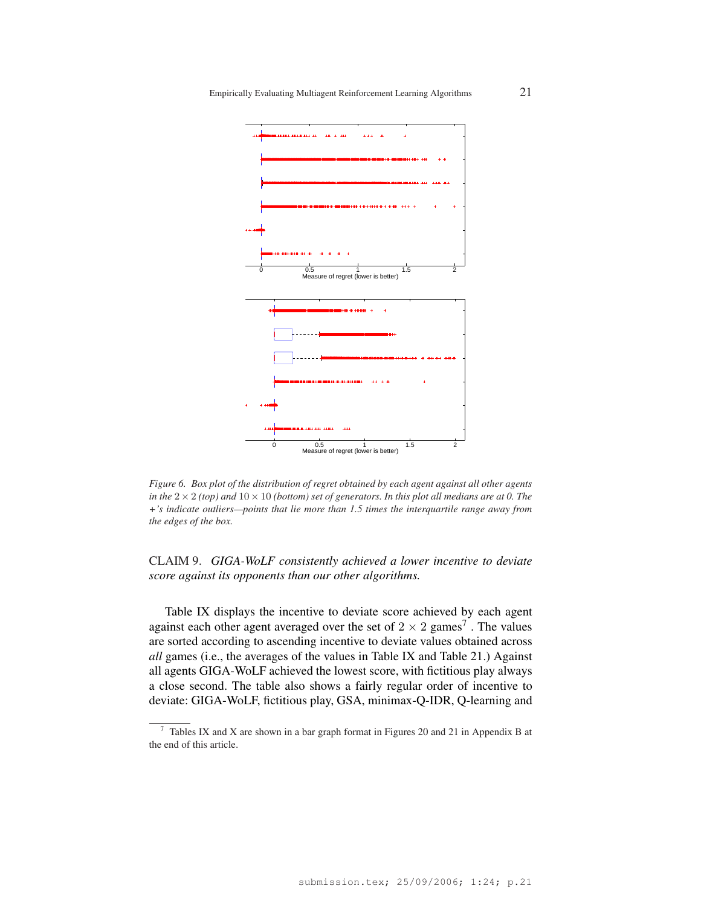

*Figure 6. Box plot of the distribution of regret obtained by each agent against all other agents in the*  $2 \times 2$  *(top)* and  $10 \times 10$  *(bottom) set of generators. In this plot all medians are at* 0. The *+'s indicate outliers—points that lie more than 1.5 times the interquartile range away from the edges of the box.*

CLAIM 9. *GIGA-WoLF consistently achieved a lower incentive to deviate score against its opponents than our other algorithms.*

Table IX displays the incentive to deviate score achieved by each agent against each other agent averaged over the set of  $2 \times 2$  games<sup>7</sup>. The values are sorted according to ascending incentive to deviate values obtained across *all* games (i.e., the averages of the values in Table IX and Table 21.) Against all agents GIGA-WoLF achieved the lowest score, with fictitious play always a close second. The table also shows a fairly regular order of incentive to deviate: GIGA-WoLF, fictitious play, GSA, minimax-Q-IDR, Q-learning and

<sup>7</sup> Tables IX and X are shown in a bar graph format in Figures 20 and 21 in Appendix B at the end of this article.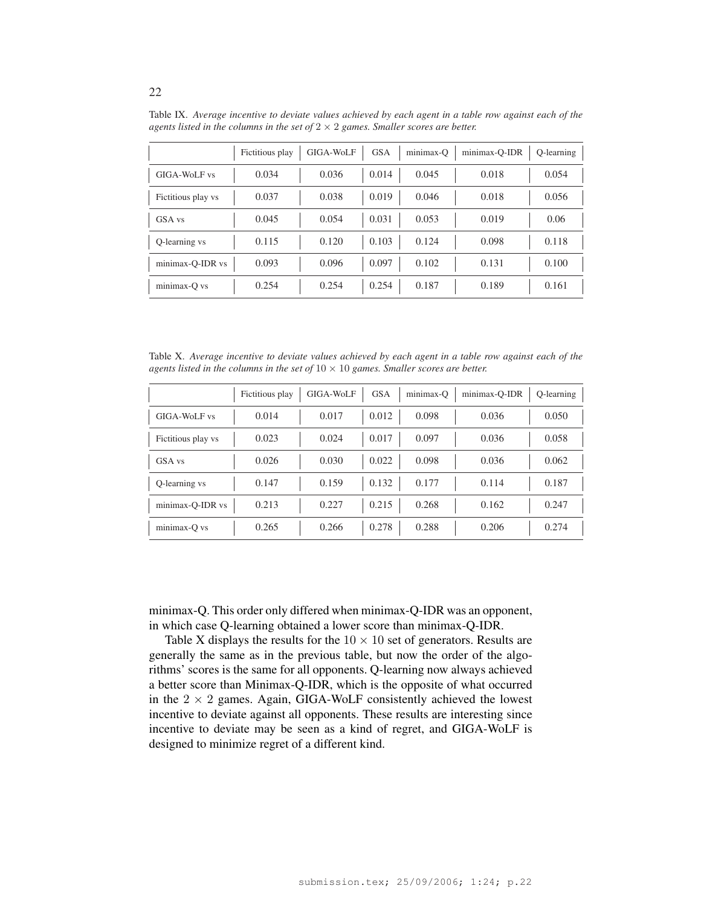|                    | Fictitious play | GIGA-WoLF | <b>GSA</b> | minimax-Q | minimax-Q-IDR | O-learning |
|--------------------|-----------------|-----------|------------|-----------|---------------|------------|
| GIGA-WoLF vs       | 0.034           | 0.036     | 0.014      | 0.045     | 0.018         | 0.054      |
| Fictitious play vs | 0.037           | 0.038     | 0.019      | 0.046     | 0.018         | 0.056      |
| GSA vs             | 0.045           | 0.054     | 0.031      | 0.053     | 0.019         | 0.06       |
| Q-learning vs      | 0.115           | 0.120     | 0.103      | 0.124     | 0.098         | 0.118      |
| minimax-Q-IDR vs   | 0.093           | 0.096     | 0.097      | 0.102     | 0.131         | 0.100      |
| minimax-Q vs       | 0.254           | 0.254     | 0.254      | 0.187     | 0.189         | 0.161      |

Table IX. *Average incentive to deviate values achieved by each agent in a table row against each of the agents listed in the columns in the set of* 2 × 2 *games. Smaller scores are better.*

Table X. *Average incentive to deviate values achieved by each agent in a table row against each of the agents listed in the columns in the set of*  $10 \times 10$  *games. Smaller scores are better.* 

|                    | Fictitious play | GIGA-WoLF | <b>GSA</b> | minimax-O | minimax-Q-IDR | O-learning |
|--------------------|-----------------|-----------|------------|-----------|---------------|------------|
| GIGA-WoLF vs       | 0.014           | 0.017     | 0.012      | 0.098     | 0.036         | 0.050      |
| Fictitious play vs | 0.023           | 0.024     | 0.017      | 0.097     | 0.036         | 0.058      |
| GSA vs             | 0.026           | 0.030     | 0.022      | 0.098     | 0.036         | 0.062      |
| Q-learning vs      | 0.147           | 0.159     | 0.132      | 0.177     | 0.114         | 0.187      |
| minimax-Q-IDR vs   | 0.213           | 0.227     | 0.215      | 0.268     | 0.162         | 0.247      |
| minimax-Q vs       | 0.265           | 0.266     | 0.278      | 0.288     | 0.206         | 0.274      |

minimax-Q. This order only differed when minimax-Q-IDR was an opponent, in which case Q-learning obtained a lower score than minimax-Q-IDR.

Table X displays the results for the  $10 \times 10$  set of generators. Results are generally the same as in the previous table, but now the order of the algorithms' scores is the same for all opponents. Q-learning now always achieved a better score than Minimax-Q-IDR, which is the opposite of what occurred in the  $2 \times 2$  games. Again, GIGA-WoLF consistently achieved the lowest incentive to deviate against all opponents. These results are interesting since incentive to deviate may be seen as a kind of regret, and GIGA-WoLF is designed to minimize regret of a different kind.

22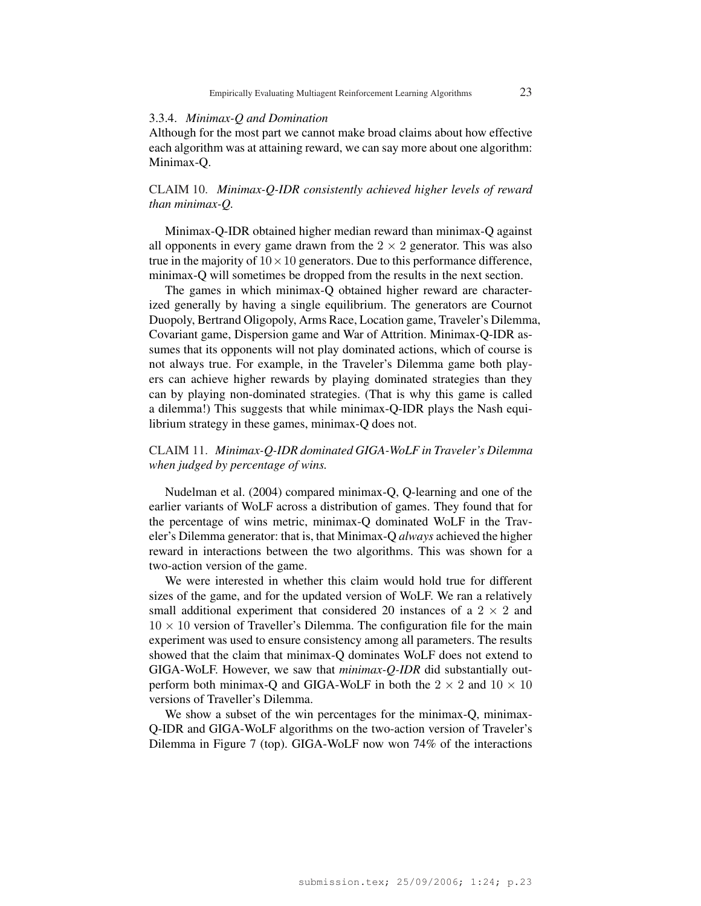### 3.3.4. *Minimax-Q and Domination*

Although for the most part we cannot make broad claims about how effective each algorithm was at attaining reward, we can say more about one algorithm: Minimax-Q.

# CLAIM 10. *Minimax-Q-IDR consistently achieved higher levels of reward than minimax-Q.*

Minimax-Q-IDR obtained higher median reward than minimax-Q against all opponents in every game drawn from the  $2 \times 2$  generator. This was also true in the majority of  $10 \times 10$  generators. Due to this performance difference, minimax-Q will sometimes be dropped from the results in the next section.

The games in which minimax-Q obtained higher reward are characterized generally by having a single equilibrium. The generators are Cournot Duopoly, Bertrand Oligopoly, Arms Race, Location game, Traveler's Dilemma, Covariant game, Dispersion game and War of Attrition. Minimax-Q-IDR assumes that its opponents will not play dominated actions, which of course is not always true. For example, in the Traveler's Dilemma game both players can achieve higher rewards by playing dominated strategies than they can by playing non-dominated strategies. (That is why this game is called a dilemma!) This suggests that while minimax-Q-IDR plays the Nash equilibrium strategy in these games, minimax-Q does not.

# CLAIM 11. *Minimax-Q-IDR dominated GIGA-WoLF in Traveler's Dilemma when judged by percentage of wins.*

Nudelman et al. (2004) compared minimax-Q, Q-learning and one of the earlier variants of WoLF across a distribution of games. They found that for the percentage of wins metric, minimax-Q dominated WoLF in the Traveler's Dilemma generator: that is, that Minimax-Q *always* achieved the higher reward in interactions between the two algorithms. This was shown for a two-action version of the game.

We were interested in whether this claim would hold true for different sizes of the game, and for the updated version of WoLF. We ran a relatively small additional experiment that considered 20 instances of a  $2 \times 2$  and  $10 \times 10$  version of Traveller's Dilemma. The configuration file for the main experiment was used to ensure consistency among all parameters. The results showed that the claim that minimax-Q dominates WoLF does not extend to GIGA-WoLF. However, we saw that *minimax-Q-IDR* did substantially outperform both minimax-Q and GIGA-WoLF in both the  $2 \times 2$  and  $10 \times 10$ versions of Traveller's Dilemma.

We show a subset of the win percentages for the minimax-Q, minimax-Q-IDR and GIGA-WoLF algorithms on the two-action version of Traveler's Dilemma in Figure 7 (top). GIGA-WoLF now won 74% of the interactions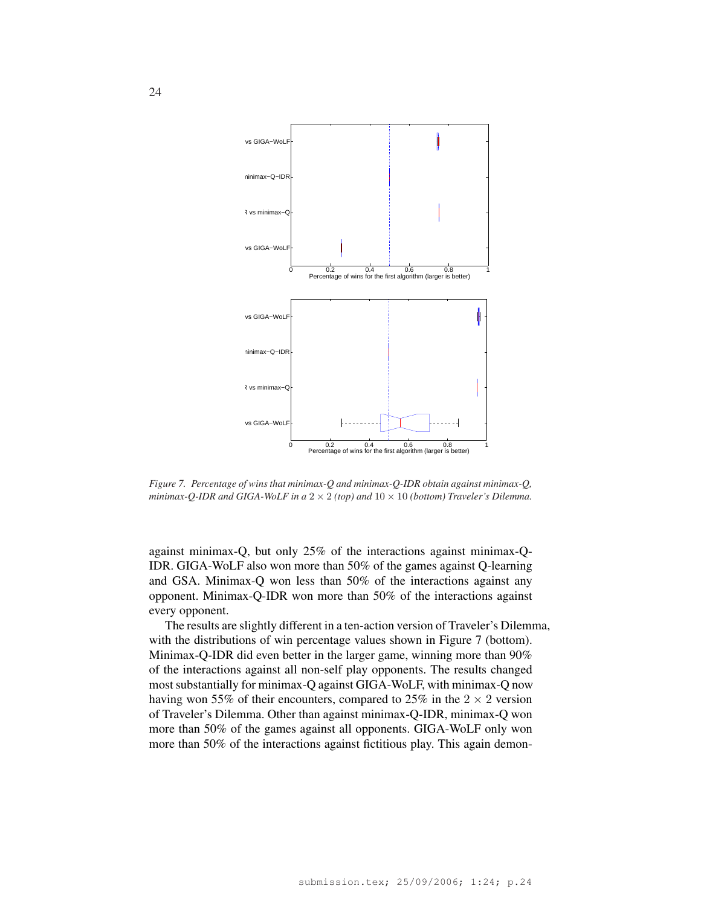

*Figure 7. Percentage of wins that minimax-Q and minimax-Q-IDR obtain against minimax-Q, minimax-Q-IDR and GIGA-WoLF in a*  $2 \times 2$  *(top) and*  $10 \times 10$  *(bottom) Traveler's Dilemma.* 

against minimax-Q, but only 25% of the interactions against minimax-Q-IDR. GIGA-WoLF also won more than 50% of the games against Q-learning and GSA. Minimax-Q won less than 50% of the interactions against any opponent. Minimax-Q-IDR won more than 50% of the interactions against every opponent.

The results are slightly different in a ten-action version of Traveler's Dilemma, with the distributions of win percentage values shown in Figure 7 (bottom). Minimax-Q-IDR did even better in the larger game, winning more than 90% of the interactions against all non-self play opponents. The results changed most substantially for minimax-Q against GIGA-WoLF, with minimax-Q now having won 55% of their encounters, compared to 25% in the  $2 \times 2$  version of Traveler's Dilemma. Other than against minimax-Q-IDR, minimax-Q won more than 50% of the games against all opponents. GIGA-WoLF only won more than 50% of the interactions against fictitious play. This again demon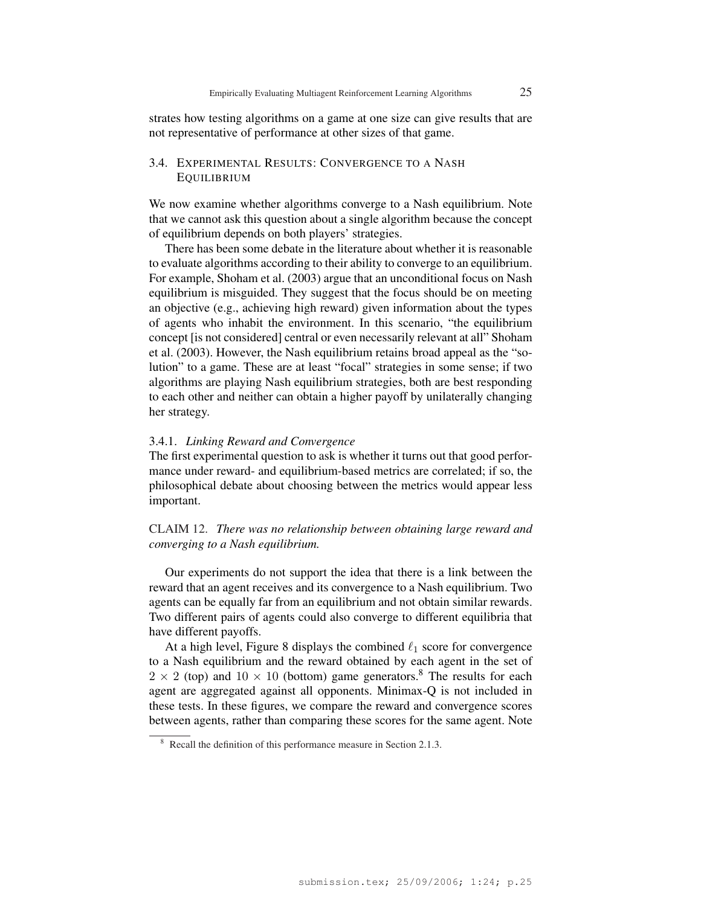strates how testing algorithms on a game at one size can give results that are not representative of performance at other sizes of that game.

# 3.4. EXPERIMENTAL RESULTS: CONVERGENCE TO A NASH EQUILIBRIUM

We now examine whether algorithms converge to a Nash equilibrium. Note that we cannot ask this question about a single algorithm because the concept of equilibrium depends on both players' strategies.

There has been some debate in the literature about whether it is reasonable to evaluate algorithms according to their ability to converge to an equilibrium. For example, Shoham et al. (2003) argue that an unconditional focus on Nash equilibrium is misguided. They suggest that the focus should be on meeting an objective (e.g., achieving high reward) given information about the types of agents who inhabit the environment. In this scenario, "the equilibrium concept [is not considered] central or even necessarily relevant at all" Shoham et al. (2003). However, the Nash equilibrium retains broad appeal as the "solution" to a game. These are at least "focal" strategies in some sense; if two algorithms are playing Nash equilibrium strategies, both are best responding to each other and neither can obtain a higher payoff by unilaterally changing her strategy.

### 3.4.1. *Linking Reward and Convergence*

The first experimental question to ask is whether it turns out that good performance under reward- and equilibrium-based metrics are correlated; if so, the philosophical debate about choosing between the metrics would appear less important.

# CLAIM 12. *There was no relationship between obtaining large reward and converging to a Nash equilibrium.*

Our experiments do not support the idea that there is a link between the reward that an agent receives and its convergence to a Nash equilibrium. Two agents can be equally far from an equilibrium and not obtain similar rewards. Two different pairs of agents could also converge to different equilibria that have different payoffs.

At a high level, Figure 8 displays the combined  $\ell_1$  score for convergence to a Nash equilibrium and the reward obtained by each agent in the set of  $2 \times 2$  (top) and  $10 \times 10$  (bottom) game generators.<sup>8</sup> The results for each agent are aggregated against all opponents. Minimax-Q is not included in these tests. In these figures, we compare the reward and convergence scores between agents, rather than comparing these scores for the same agent. Note

<sup>8</sup> Recall the definition of this performance measure in Section 2.1.3.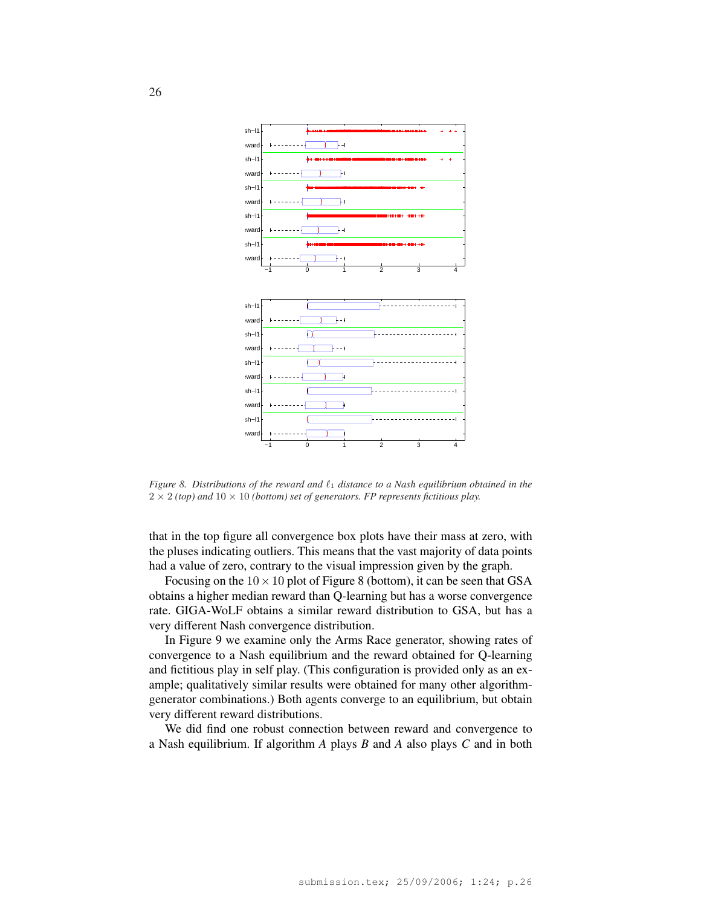

*Figure 8. Distributions of the reward and*  $\ell_1$  *distance to a Nash equilibrium obtained in the*  $2 \times 2$  *(top)* and  $10 \times 10$  *(bottom) set of generators. FP represents fictitious play.* 

that in the top figure all convergence box plots have their mass at zero, with the pluses indicating outliers. This means that the vast majority of data points had a value of zero, contrary to the visual impression given by the graph.

Focusing on the  $10 \times 10$  plot of Figure 8 (bottom), it can be seen that GSA obtains a higher median reward than Q-learning but has a worse convergence rate. GIGA-WoLF obtains a similar reward distribution to GSA, but has a very different Nash convergence distribution.

In Figure 9 we examine only the Arms Race generator, showing rates of convergence to a Nash equilibrium and the reward obtained for Q-learning and fictitious play in self play. (This configuration is provided only as an example; qualitatively similar results were obtained for many other algorithmgenerator combinations.) Both agents converge to an equilibrium, but obtain very different reward distributions.

We did find one robust connection between reward and convergence to a Nash equilibrium. If algorithm *A* plays *B* and *A* also plays *C* and in both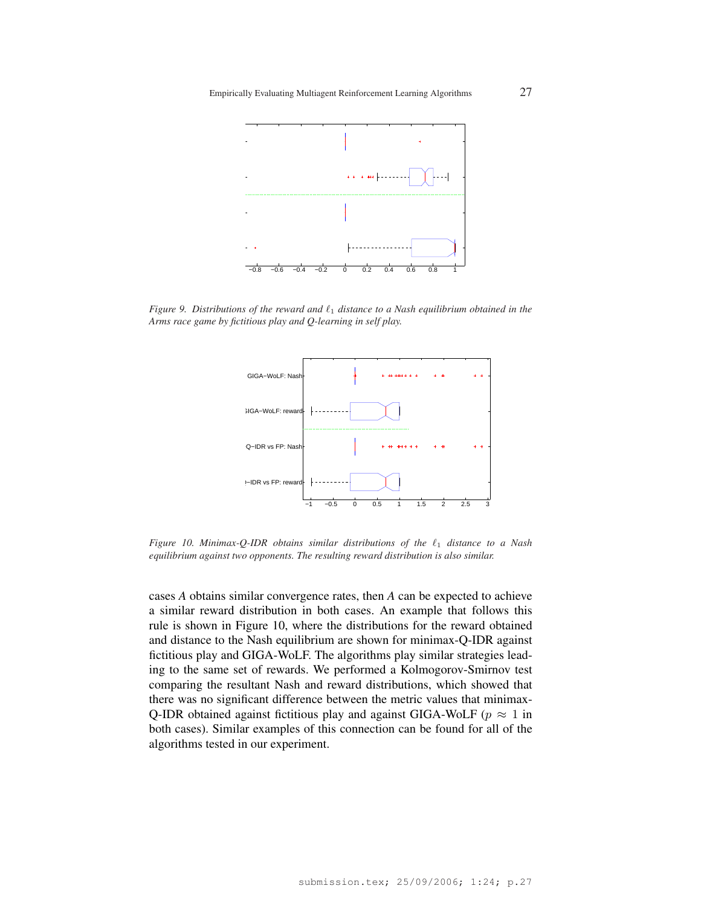

*Figure 9. Distributions of the reward and*  $\ell_1$  *distance to a Nash equilibrium obtained in the Arms race game by fictitious play and Q-learning in self play.*



*Figure 10. Minimax-Q-IDR obtains similar distributions of the*  $\ell_1$  *distance to a Nash equilibrium against two opponents. The resulting reward distribution is also similar.*

cases *A* obtains similar convergence rates, then *A* can be expected to achieve a similar reward distribution in both cases. An example that follows this rule is shown in Figure 10, where the distributions for the reward obtained and distance to the Nash equilibrium are shown for minimax-Q-IDR against fictitious play and GIGA-WoLF. The algorithms play similar strategies leading to the same set of rewards. We performed a Kolmogorov-Smirnov test comparing the resultant Nash and reward distributions, which showed that there was no significant difference between the metric values that minimax-Q-IDR obtained against fictitious play and against GIGA-WoLF ( $p \approx 1$  in both cases). Similar examples of this connection can be found for all of the algorithms tested in our experiment.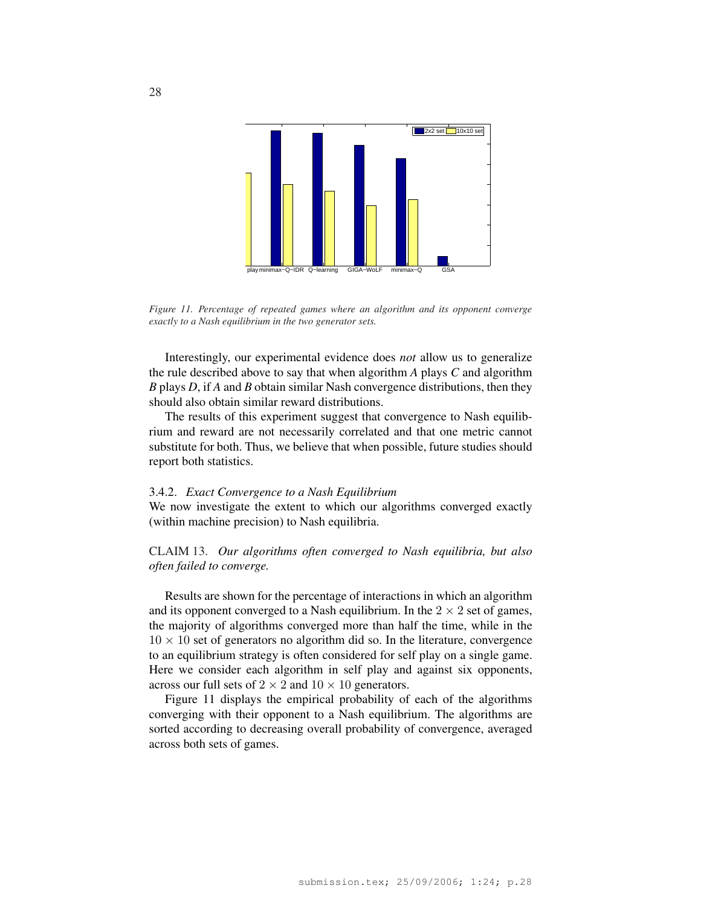

*Figure 11. Percentage of repeated games where an algorithm and its opponent converge exactly to a Nash equilibrium in the two generator sets.*

Interestingly, our experimental evidence does *not* allow us to generalize the rule described above to say that when algorithm *A* plays *C* and algorithm *B* plays *D*, if *A* and *B* obtain similar Nash convergence distributions, then they should also obtain similar reward distributions.

The results of this experiment suggest that convergence to Nash equilibrium and reward are not necessarily correlated and that one metric cannot substitute for both. Thus, we believe that when possible, future studies should report both statistics.

#### 3.4.2. *Exact Convergence to a Nash Equilibrium*

We now investigate the extent to which our algorithms converged exactly (within machine precision) to Nash equilibria.

CLAIM 13. *Our algorithms often converged to Nash equilibria, but also often failed to converge.*

Results are shown for the percentage of interactions in which an algorithm and its opponent converged to a Nash equilibrium. In the  $2 \times 2$  set of games, the majority of algorithms converged more than half the time, while in the  $10 \times 10$  set of generators no algorithm did so. In the literature, convergence to an equilibrium strategy is often considered for self play on a single game. Here we consider each algorithm in self play and against six opponents, across our full sets of  $2 \times 2$  and  $10 \times 10$  generators.

Figure 11 displays the empirical probability of each of the algorithms converging with their opponent to a Nash equilibrium. The algorithms are sorted according to decreasing overall probability of convergence, averaged across both sets of games.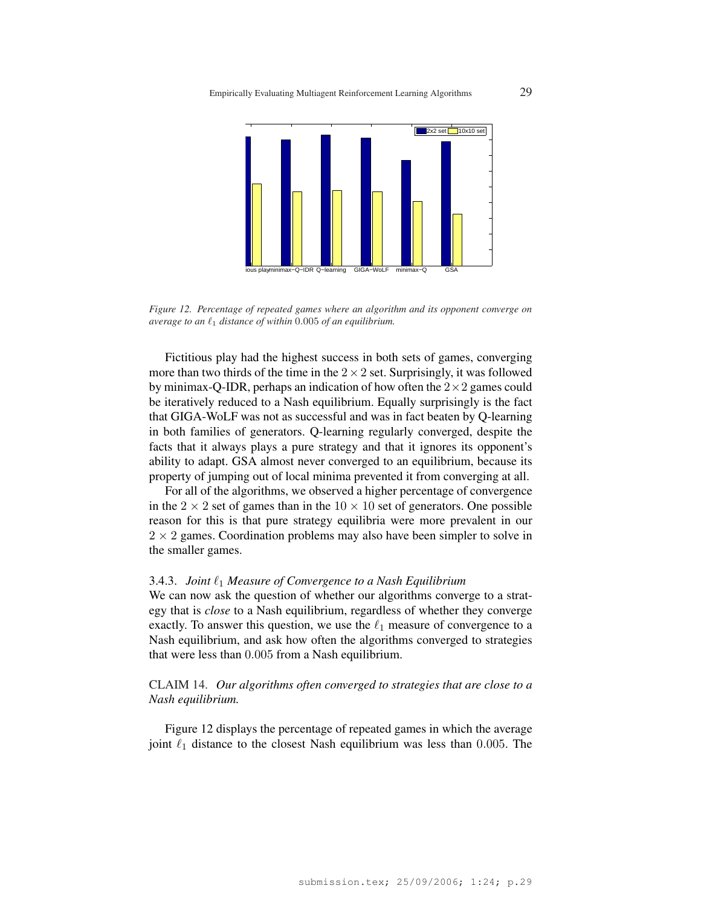Empirically Evaluating Multiagent Reinforcement Learning Algorithms 29



*Figure 12. Percentage of repeated games where an algorithm and its opponent converge on average to an*  $\ell_1$  *distance of within* 0.005 *of an equilibrium.* 

Fictitious play had the highest success in both sets of games, converging more than two thirds of the time in the  $2 \times 2$  set. Surprisingly, it was followed by minimax-Q-IDR, perhaps an indication of how often the  $2\times 2$  games could be iteratively reduced to a Nash equilibrium. Equally surprisingly is the fact that GIGA-WoLF was not as successful and was in fact beaten by Q-learning in both families of generators. Q-learning regularly converged, despite the facts that it always plays a pure strategy and that it ignores its opponent's ability to adapt. GSA almost never converged to an equilibrium, because its property of jumping out of local minima prevented it from converging at all.

For all of the algorithms, we observed a higher percentage of convergence in the  $2 \times 2$  set of games than in the  $10 \times 10$  set of generators. One possible reason for this is that pure strategy equilibria were more prevalent in our  $2 \times 2$  games. Coordination problems may also have been simpler to solve in the smaller games.

### 3.4.3. *Joint*  $\ell_1$  *Measure of Convergence to a Nash Equilibrium*

We can now ask the question of whether our algorithms converge to a strategy that is *close* to a Nash equilibrium, regardless of whether they converge exactly. To answer this question, we use the  $\ell_1$  measure of convergence to a Nash equilibrium, and ask how often the algorithms converged to strategies that were less than 0.005 from a Nash equilibrium.

CLAIM 14. *Our algorithms often converged to strategies that are close to a Nash equilibrium.*

Figure 12 displays the percentage of repeated games in which the average joint  $\ell_1$  distance to the closest Nash equilibrium was less than 0.005. The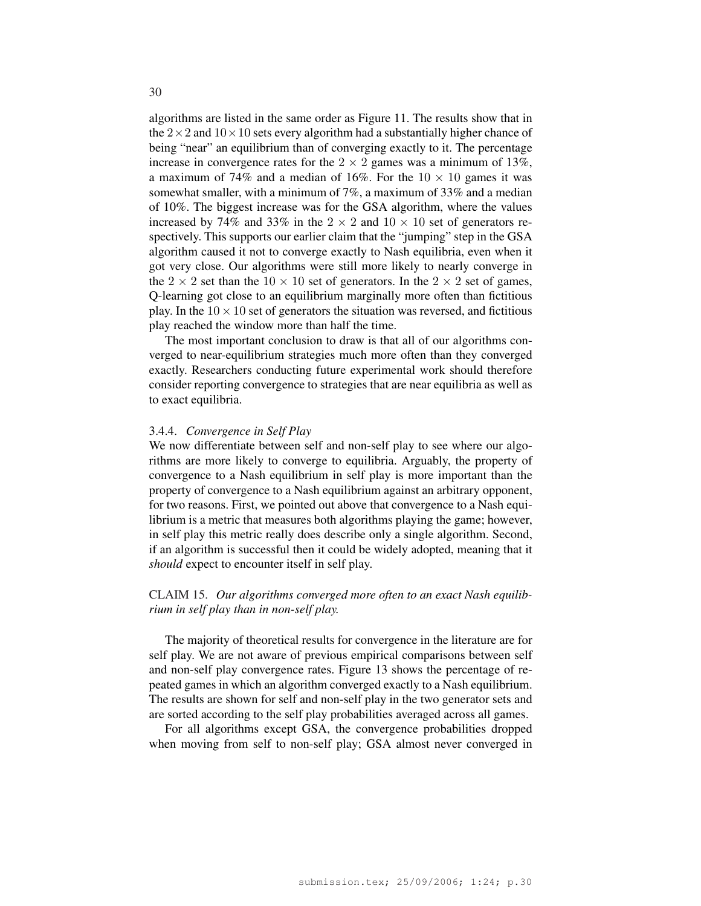algorithms are listed in the same order as Figure 11. The results show that in the  $2 \times 2$  and  $10 \times 10$  sets every algorithm had a substantially higher chance of being "near" an equilibrium than of converging exactly to it. The percentage increase in convergence rates for the  $2 \times 2$  games was a minimum of 13%, a maximum of 74% and a median of 16%. For the  $10 \times 10$  games it was somewhat smaller, with a minimum of 7%, a maximum of 33% and a median of 10%. The biggest increase was for the GSA algorithm, where the values increased by 74% and 33% in the  $2 \times 2$  and  $10 \times 10$  set of generators respectively. This supports our earlier claim that the "jumping" step in the GSA algorithm caused it not to converge exactly to Nash equilibria, even when it got very close. Our algorithms were still more likely to nearly converge in the 2  $\times$  2 set than the 10  $\times$  10 set of generators. In the 2  $\times$  2 set of games, Q-learning got close to an equilibrium marginally more often than fictitious play. In the  $10 \times 10$  set of generators the situation was reversed, and fictitious play reached the window more than half the time.

The most important conclusion to draw is that all of our algorithms converged to near-equilibrium strategies much more often than they converged exactly. Researchers conducting future experimental work should therefore consider reporting convergence to strategies that are near equilibria as well as to exact equilibria.

#### 3.4.4. *Convergence in Self Play*

We now differentiate between self and non-self play to see where our algorithms are more likely to converge to equilibria. Arguably, the property of convergence to a Nash equilibrium in self play is more important than the property of convergence to a Nash equilibrium against an arbitrary opponent, for two reasons. First, we pointed out above that convergence to a Nash equilibrium is a metric that measures both algorithms playing the game; however, in self play this metric really does describe only a single algorithm. Second, if an algorithm is successful then it could be widely adopted, meaning that it *should* expect to encounter itself in self play.

# CLAIM 15. *Our algorithms converged more often to an exact Nash equilibrium in self play than in non-self play.*

The majority of theoretical results for convergence in the literature are for self play. We are not aware of previous empirical comparisons between self and non-self play convergence rates. Figure 13 shows the percentage of repeated games in which an algorithm converged exactly to a Nash equilibrium. The results are shown for self and non-self play in the two generator sets and are sorted according to the self play probabilities averaged across all games.

For all algorithms except GSA, the convergence probabilities dropped when moving from self to non-self play; GSA almost never converged in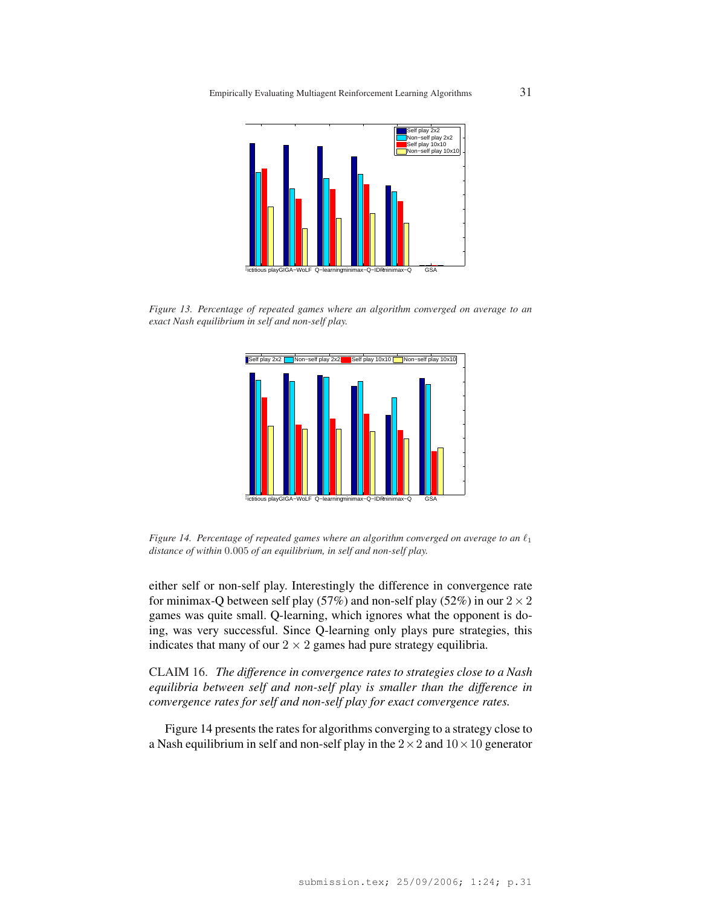

*Figure 13. Percentage of repeated games where an algorithm converged on average to an exact Nash equilibrium in self and non-self play.*



*Figure 14. Percentage of repeated games where an algorithm converged on average to an*  $\ell_1$ *distance of within* 0.005 *of an equilibrium, in self and non-self play.*

either self or non-self play. Interestingly the difference in convergence rate for minimax-Q between self play (57%) and non-self play (52%) in our  $2 \times 2$ games was quite small. Q-learning, which ignores what the opponent is doing, was very successful. Since Q-learning only plays pure strategies, this indicates that many of our  $2 \times 2$  games had pure strategy equilibria.

CLAIM 16. *The difference in convergence rates to strategies close to a Nash equilibria between self and non-self play is smaller than the difference in convergence rates for self and non-self play for exact convergence rates.*

Figure 14 presents the rates for algorithms converging to a strategy close to a Nash equilibrium in self and non-self play in the  $2 \times 2$  and  $10 \times 10$  generator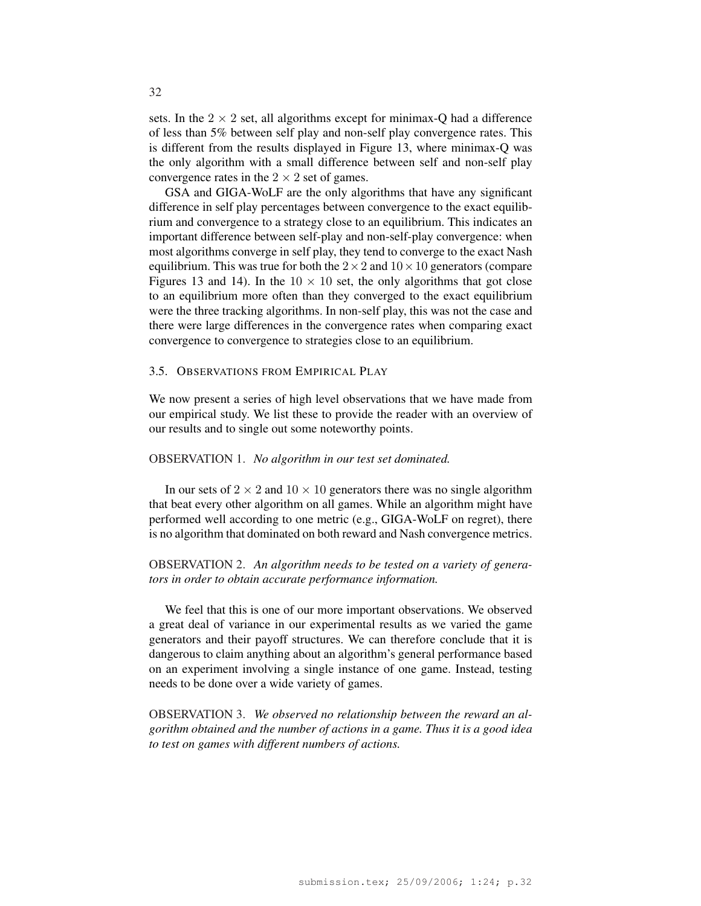sets. In the  $2 \times 2$  set, all algorithms except for minimax-Q had a difference of less than 5% between self play and non-self play convergence rates. This is different from the results displayed in Figure 13, where minimax-Q was the only algorithm with a small difference between self and non-self play convergence rates in the  $2 \times 2$  set of games.

GSA and GIGA-WoLF are the only algorithms that have any significant difference in self play percentages between convergence to the exact equilibrium and convergence to a strategy close to an equilibrium. This indicates an important difference between self-play and non-self-play convergence: when most algorithms converge in self play, they tend to converge to the exact Nash equilibrium. This was true for both the  $2 \times 2$  and  $10 \times 10$  generators (compare Figures 13 and 14). In the  $10 \times 10$  set, the only algorithms that got close to an equilibrium more often than they converged to the exact equilibrium were the three tracking algorithms. In non-self play, this was not the case and there were large differences in the convergence rates when comparing exact convergence to convergence to strategies close to an equilibrium.

### 3.5. OBSERVATIONS FROM EMPIRICAL PLAY

We now present a series of high level observations that we have made from our empirical study. We list these to provide the reader with an overview of our results and to single out some noteworthy points.

# OBSERVATION 1. *No algorithm in our test set dominated.*

In our sets of  $2 \times 2$  and  $10 \times 10$  generators there was no single algorithm that beat every other algorithm on all games. While an algorithm might have performed well according to one metric (e.g., GIGA-WoLF on regret), there is no algorithm that dominated on both reward and Nash convergence metrics.

# OBSERVATION 2. *An algorithm needs to be tested on a variety of generators in order to obtain accurate performance information.*

We feel that this is one of our more important observations. We observed a great deal of variance in our experimental results as we varied the game generators and their payoff structures. We can therefore conclude that it is dangerous to claim anything about an algorithm's general performance based on an experiment involving a single instance of one game. Instead, testing needs to be done over a wide variety of games.

OBSERVATION 3. *We observed no relationship between the reward an algorithm obtained and the number of actions in a game. Thus it is a good idea to test on games with different numbers of actions.*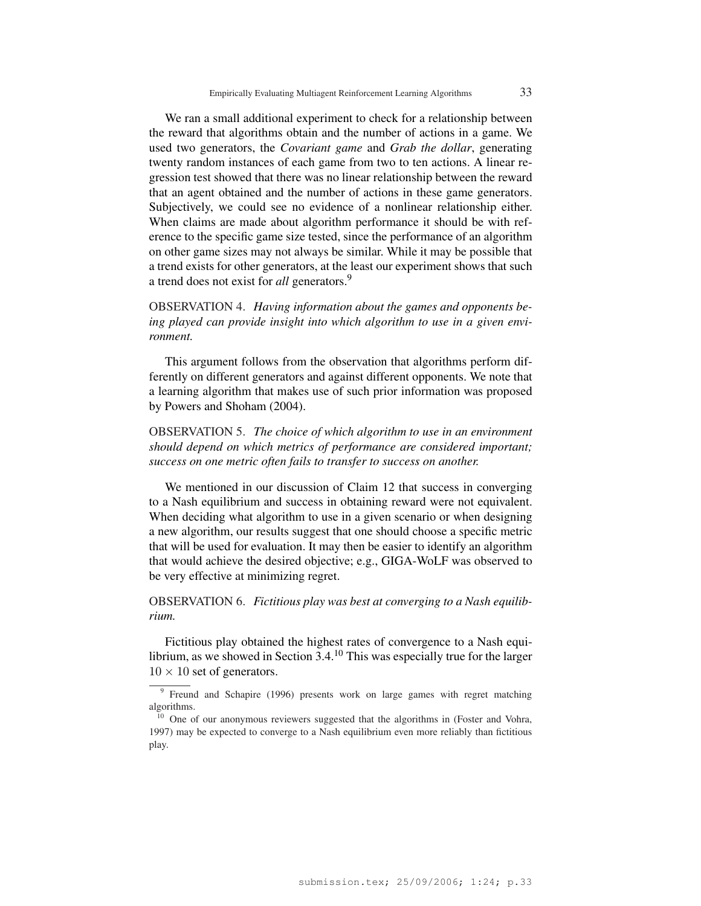We ran a small additional experiment to check for a relationship between the reward that algorithms obtain and the number of actions in a game. We used two generators, the *Covariant game* and *Grab the dollar*, generating twenty random instances of each game from two to ten actions. A linear regression test showed that there was no linear relationship between the reward that an agent obtained and the number of actions in these game generators. Subjectively, we could see no evidence of a nonlinear relationship either. When claims are made about algorithm performance it should be with reference to the specific game size tested, since the performance of an algorithm on other game sizes may not always be similar. While it may be possible that a trend exists for other generators, at the least our experiment shows that such a trend does not exist for *all* generators.<sup>9</sup>

# OBSERVATION 4. *Having information about the games and opponents being played can provide insight into which algorithm to use in a given environment.*

This argument follows from the observation that algorithms perform differently on different generators and against different opponents. We note that a learning algorithm that makes use of such prior information was proposed by Powers and Shoham (2004).

OBSERVATION 5. *The choice of which algorithm to use in an environment should depend on which metrics of performance are considered important; success on one metric often fails to transfer to success on another.*

We mentioned in our discussion of Claim 12 that success in converging to a Nash equilibrium and success in obtaining reward were not equivalent. When deciding what algorithm to use in a given scenario or when designing a new algorithm, our results suggest that one should choose a specific metric that will be used for evaluation. It may then be easier to identify an algorithm that would achieve the desired objective; e.g., GIGA-WoLF was observed to be very effective at minimizing regret.

OBSERVATION 6. *Fictitious play was best at converging to a Nash equilibrium.*

Fictitious play obtained the highest rates of convergence to a Nash equilibrium, as we showed in Section  $3.4^{10}$  This was especially true for the larger  $10 \times 10$  set of generators.

<sup>&</sup>lt;sup>9</sup> Freund and Schapire (1996) presents work on large games with regret matching algorithms.

<sup>&</sup>lt;sup>10</sup> One of our anonymous reviewers suggested that the algorithms in (Foster and Vohra, 1997) may be expected to converge to a Nash equilibrium even more reliably than fictitious play.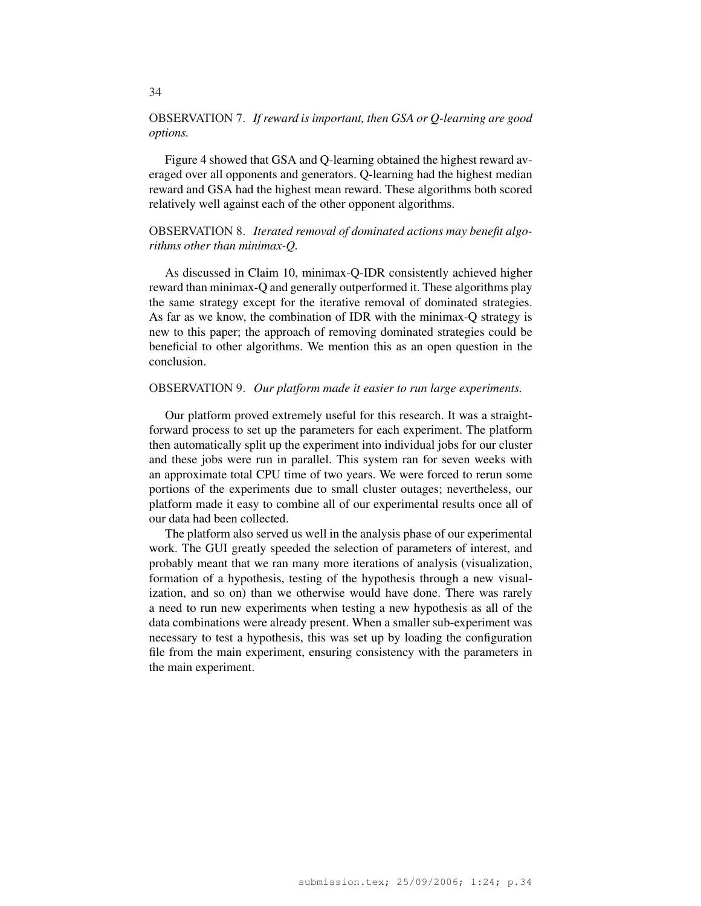# OBSERVATION 7. *If reward is important, then GSA or Q-learning are good options.*

Figure 4 showed that GSA and Q-learning obtained the highest reward averaged over all opponents and generators. Q-learning had the highest median reward and GSA had the highest mean reward. These algorithms both scored relatively well against each of the other opponent algorithms.

# OBSERVATION 8. *Iterated removal of dominated actions may benefit algorithms other than minimax-Q.*

As discussed in Claim 10, minimax-Q-IDR consistently achieved higher reward than minimax-Q and generally outperformed it. These algorithms play the same strategy except for the iterative removal of dominated strategies. As far as we know, the combination of IDR with the minimax-Q strategy is new to this paper; the approach of removing dominated strategies could be beneficial to other algorithms. We mention this as an open question in the conclusion.

### OBSERVATION 9. *Our platform made it easier to run large experiments.*

Our platform proved extremely useful for this research. It was a straightforward process to set up the parameters for each experiment. The platform then automatically split up the experiment into individual jobs for our cluster and these jobs were run in parallel. This system ran for seven weeks with an approximate total CPU time of two years. We were forced to rerun some portions of the experiments due to small cluster outages; nevertheless, our platform made it easy to combine all of our experimental results once all of our data had been collected.

The platform also served us well in the analysis phase of our experimental work. The GUI greatly speeded the selection of parameters of interest, and probably meant that we ran many more iterations of analysis (visualization, formation of a hypothesis, testing of the hypothesis through a new visualization, and so on) than we otherwise would have done. There was rarely a need to run new experiments when testing a new hypothesis as all of the data combinations were already present. When a smaller sub-experiment was necessary to test a hypothesis, this was set up by loading the configuration file from the main experiment, ensuring consistency with the parameters in the main experiment.

34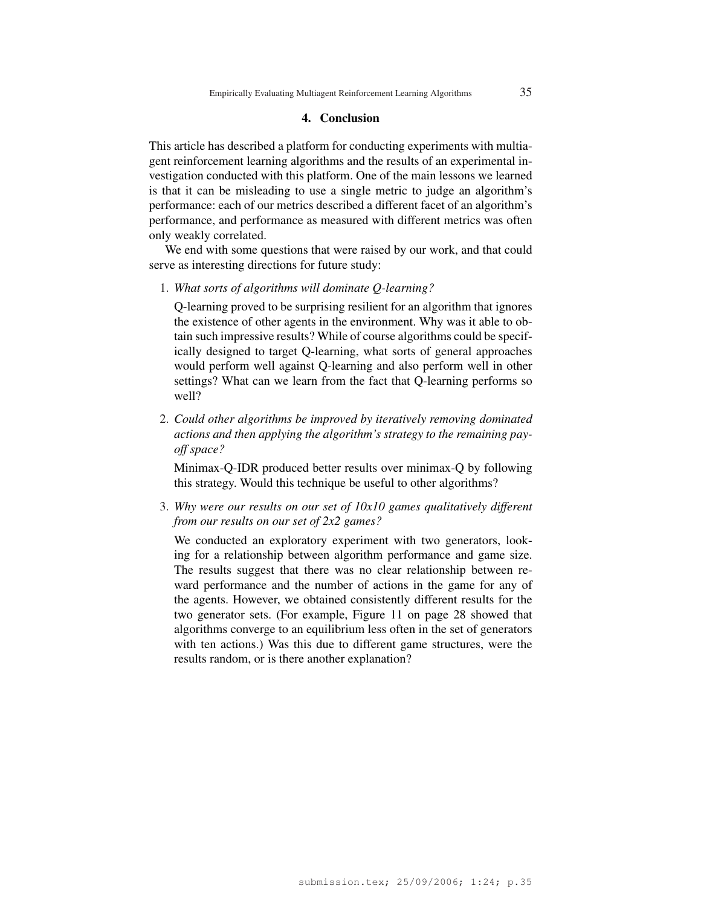#### 4. Conclusion

This article has described a platform for conducting experiments with multiagent reinforcement learning algorithms and the results of an experimental investigation conducted with this platform. One of the main lessons we learned is that it can be misleading to use a single metric to judge an algorithm's performance: each of our metrics described a different facet of an algorithm's performance, and performance as measured with different metrics was often only weakly correlated.

We end with some questions that were raised by our work, and that could serve as interesting directions for future study:

1. *What sorts of algorithms will dominate Q-learning?*

Q-learning proved to be surprising resilient for an algorithm that ignores the existence of other agents in the environment. Why was it able to obtain such impressive results? While of course algorithms could be specifically designed to target Q-learning, what sorts of general approaches would perform well against Q-learning and also perform well in other settings? What can we learn from the fact that Q-learning performs so well?

2. *Could other algorithms be improved by iteratively removing dominated actions and then applying the algorithm's strategy to the remaining payoff space?*

Minimax-Q-IDR produced better results over minimax-Q by following this strategy. Would this technique be useful to other algorithms?

3. *Why were our results on our set of 10x10 games qualitatively different from our results on our set of 2x2 games?*

We conducted an exploratory experiment with two generators, looking for a relationship between algorithm performance and game size. The results suggest that there was no clear relationship between reward performance and the number of actions in the game for any of the agents. However, we obtained consistently different results for the two generator sets. (For example, Figure 11 on page 28 showed that algorithms converge to an equilibrium less often in the set of generators with ten actions.) Was this due to different game structures, were the results random, or is there another explanation?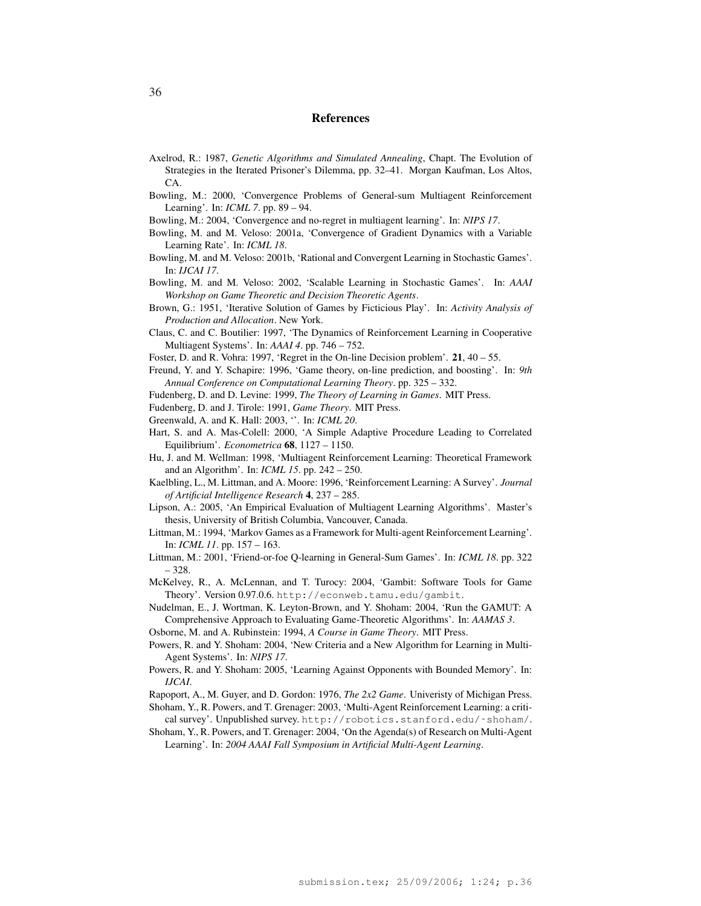#### References

- Axelrod, R.: 1987, *Genetic Algorithms and Simulated Annealing*, Chapt. The Evolution of Strategies in the Iterated Prisoner's Dilemma, pp. 32–41. Morgan Kaufman, Los Altos, CA.
- Bowling, M.: 2000, 'Convergence Problems of General-sum Multiagent Reinforcement Learning'. In: *ICML 7*. pp. 89 – 94.
- Bowling, M.: 2004, 'Convergence and no-regret in multiagent learning'. In: *NIPS 17*.
- Bowling, M. and M. Veloso: 2001a, 'Convergence of Gradient Dynamics with a Variable Learning Rate'. In: *ICML 18*.
- Bowling, M. and M. Veloso: 2001b, 'Rational and Convergent Learning in Stochastic Games'. In: *IJCAI 17*.
- Bowling, M. and M. Veloso: 2002, 'Scalable Learning in Stochastic Games'. In: *AAAI Workshop on Game Theoretic and Decision Theoretic Agents*.
- Brown, G.: 1951, 'Iterative Solution of Games by Ficticious Play'. In: *Activity Analysis of Production and Allocation*. New York.
- Claus, C. and C. Boutilier: 1997, 'The Dynamics of Reinforcement Learning in Cooperative Multiagent Systems'. In: *AAAI 4*. pp. 746 – 752.
- Foster, D. and R. Vohra: 1997, 'Regret in the On-line Decision problem'. 21, 40 55.
- Freund, Y. and Y. Schapire: 1996, 'Game theory, on-line prediction, and boosting'. In: *9th Annual Conference on Computational Learning Theory*. pp. 325 – 332.
- Fudenberg, D. and D. Levine: 1999, *The Theory of Learning in Games*. MIT Press.
- Fudenberg, D. and J. Tirole: 1991, *Game Theory*. MIT Press.
- Greenwald, A. and K. Hall: 2003, ''. In: *ICML 20*.
- Hart, S. and A. Mas-Colell: 2000, 'A Simple Adaptive Procedure Leading to Correlated Equilibrium'. *Econometrica* 68, 1127 – 1150.
- Hu, J. and M. Wellman: 1998, 'Multiagent Reinforcement Learning: Theoretical Framework and an Algorithm'. In: *ICML 15*. pp. 242 – 250.
- Kaelbling, L., M. Littman, and A. Moore: 1996, 'Reinforcement Learning: A Survey'. *Journal of Artificial Intelligence Research* 4, 237 – 285.
- Lipson, A.: 2005, 'An Empirical Evaluation of Multiagent Learning Algorithms'. Master's thesis, University of British Columbia, Vancouver, Canada.
- Littman, M.: 1994, 'Markov Games as a Framework for Multi-agent Reinforcement Learning'. In: *ICML 11*. pp. 157 – 163.
- Littman, M.: 2001, 'Friend-or-foe Q-learning in General-Sum Games'. In: *ICML 18*. pp. 322 – 328.
- McKelvey, R., A. McLennan, and T. Turocy: 2004, 'Gambit: Software Tools for Game Theory'. Version 0.97.0.6. http://econweb.tamu.edu/gambit.
- Nudelman, E., J. Wortman, K. Leyton-Brown, and Y. Shoham: 2004, 'Run the GAMUT: A Comprehensive Approach to Evaluating Game-Theoretic Algorithms'. In: *AAMAS 3*.
- Osborne, M. and A. Rubinstein: 1994, *A Course in Game Theory*. MIT Press.
- Powers, R. and Y. Shoham: 2004, 'New Criteria and a New Algorithm for Learning in Multi-Agent Systems'. In: *NIPS 17*.
- Powers, R. and Y. Shoham: 2005, 'Learning Against Opponents with Bounded Memory'. In: *IJCAI*.
- Rapoport, A., M. Guyer, and D. Gordon: 1976, *The 2x2 Game*. Univeristy of Michigan Press.
- Shoham, Y., R. Powers, and T. Grenager: 2003, 'Multi-Agent Reinforcement Learning: a critical survey'. Unpublished survey. http://robotics.stanford.edu/˜shoham/.
- Shoham, Y., R. Powers, and T. Grenager: 2004, 'On the Agenda(s) of Research on Multi-Agent Learning'. In: *2004 AAAI Fall Symposium in Artificial Multi-Agent Learning*.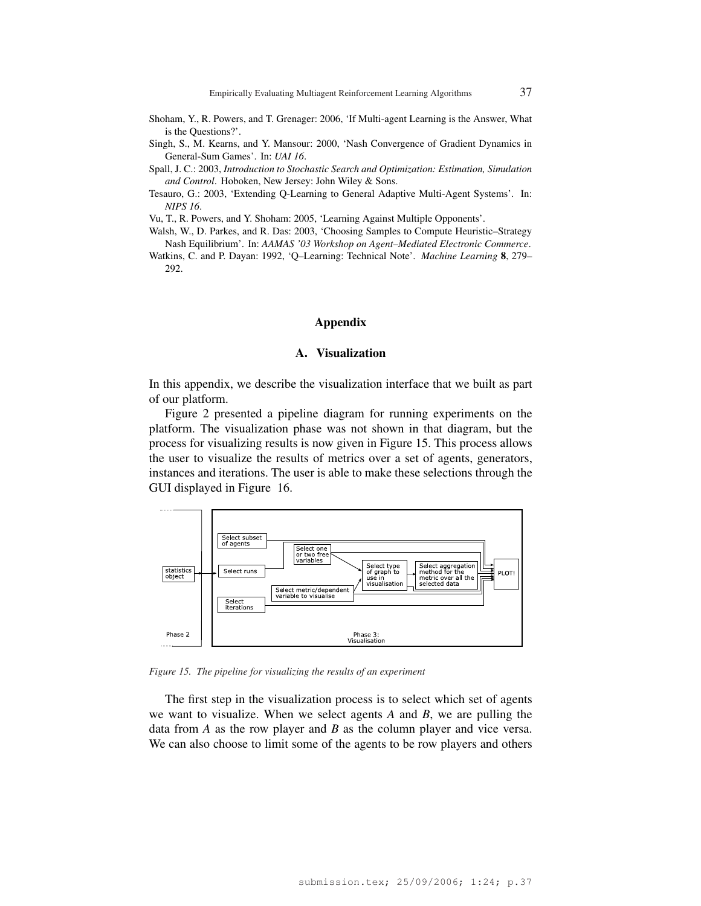- Shoham, Y., R. Powers, and T. Grenager: 2006, 'If Multi-agent Learning is the Answer, What is the Questions?'.
- Singh, S., M. Kearns, and Y. Mansour: 2000, 'Nash Convergence of Gradient Dynamics in General-Sum Games'. In: *UAI 16*.
- Spall, J. C.: 2003, *Introduction to Stochastic Search and Optimization: Estimation, Simulation and Control*. Hoboken, New Jersey: John Wiley & Sons.
- Tesauro, G.: 2003, 'Extending Q-Learning to General Adaptive Multi-Agent Systems'. In: *NIPS 16*.

Vu, T., R. Powers, and Y. Shoham: 2005, 'Learning Against Multiple Opponents'.

Walsh, W., D. Parkes, and R. Das: 2003, 'Choosing Samples to Compute Heuristic–Strategy Nash Equilibrium'. In: *AAMAS '03 Workshop on Agent–Mediated Electronic Commerce*.

Watkins, C. and P. Dayan: 1992, 'Q–Learning: Technical Note'. *Machine Learning* 8, 279– 292.

#### Appendix

### A. Visualization

In this appendix, we describe the visualization interface that we built as part of our platform.

Figure 2 presented a pipeline diagram for running experiments on the platform. The visualization phase was not shown in that diagram, but the process for visualizing results is now given in Figure 15. This process allows the user to visualize the results of metrics over a set of agents, generators, instances and iterations. The user is able to make these selections through the GUI displayed in Figure 16.



*Figure 15. The pipeline for visualizing the results of an experiment*

The first step in the visualization process is to select which set of agents we want to visualize. When we select agents *A* and *B*, we are pulling the data from *A* as the row player and *B* as the column player and vice versa. We can also choose to limit some of the agents to be row players and others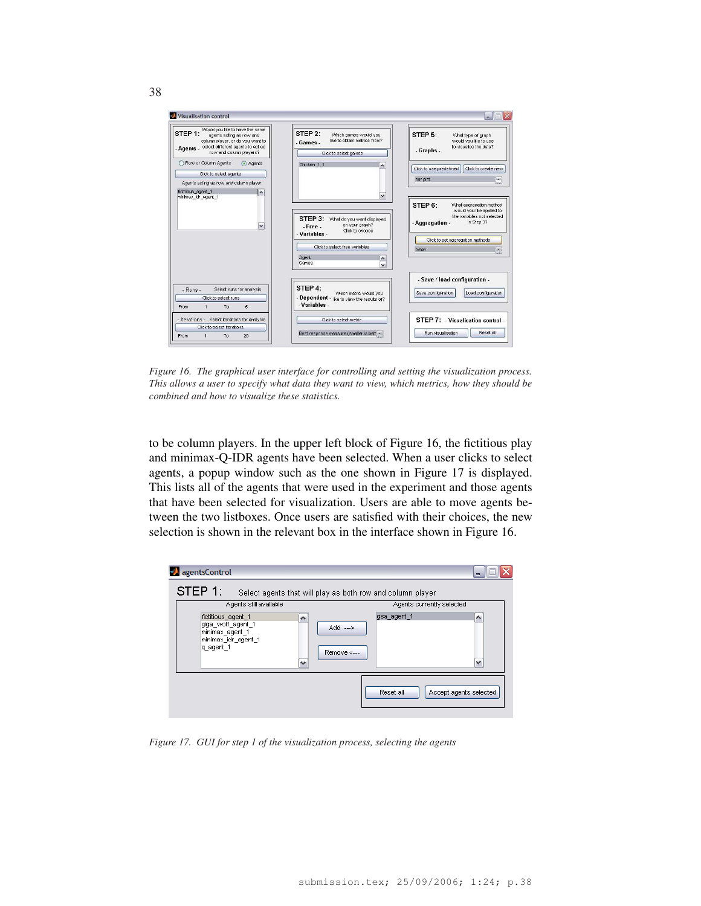

*Figure 16. The graphical user interface for controlling and setting the visualization process. This allows a user to specify what data they want to view, which metrics, how they should be combined and how to visualize these statistics.*

to be column players. In the upper left block of Figure 16, the fictitious play and minimax-Q-IDR agents have been selected. When a user clicks to select agents, a popup window such as the one shown in Figure 17 is displayed. This lists all of the agents that were used in the experiment and those agents that have been selected for visualization. Users are able to move agents between the two listboxes. Once users are satisfied with their choices, the new selection is shown in the relevant box in the interface shown in Figure 16.



*Figure 17. GUI for step 1 of the visualization process, selecting the agents*

38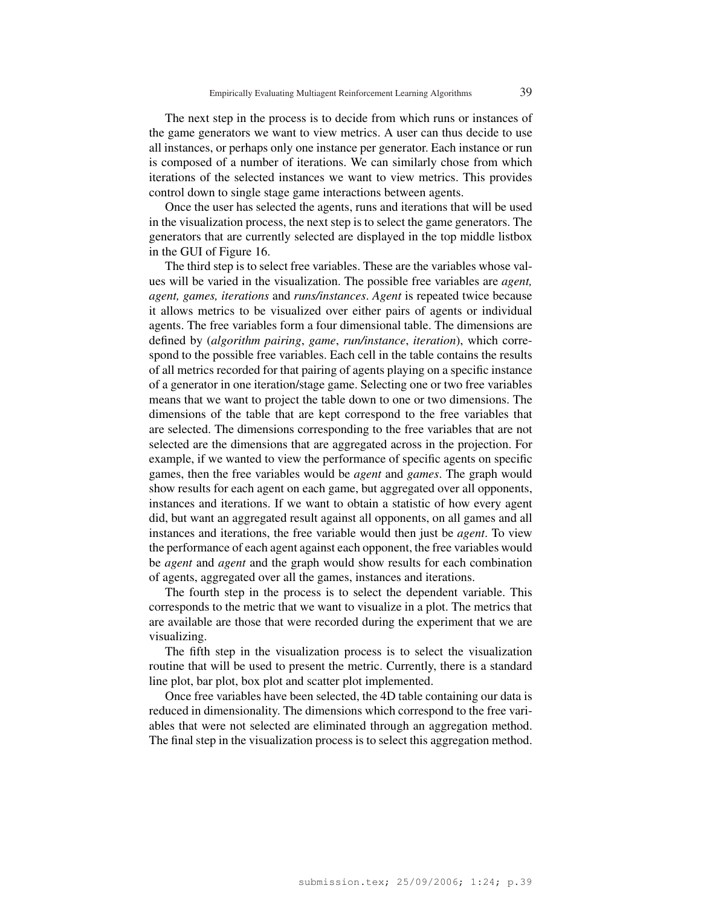The next step in the process is to decide from which runs or instances of the game generators we want to view metrics. A user can thus decide to use all instances, or perhaps only one instance per generator. Each instance or run is composed of a number of iterations. We can similarly chose from which iterations of the selected instances we want to view metrics. This provides control down to single stage game interactions between agents.

Once the user has selected the agents, runs and iterations that will be used in the visualization process, the next step is to select the game generators. The generators that are currently selected are displayed in the top middle listbox in the GUI of Figure 16.

The third step is to select free variables. These are the variables whose values will be varied in the visualization. The possible free variables are *agent, agent, games, iterations* and *runs/instances*. *Agent* is repeated twice because it allows metrics to be visualized over either pairs of agents or individual agents. The free variables form a four dimensional table. The dimensions are defined by (*algorithm pairing*, *game*, *run/instance*, *iteration*), which correspond to the possible free variables. Each cell in the table contains the results of all metrics recorded for that pairing of agents playing on a specific instance of a generator in one iteration/stage game. Selecting one or two free variables means that we want to project the table down to one or two dimensions. The dimensions of the table that are kept correspond to the free variables that are selected. The dimensions corresponding to the free variables that are not selected are the dimensions that are aggregated across in the projection. For example, if we wanted to view the performance of specific agents on specific games, then the free variables would be *agent* and *games*. The graph would show results for each agent on each game, but aggregated over all opponents, instances and iterations. If we want to obtain a statistic of how every agent did, but want an aggregated result against all opponents, on all games and all instances and iterations, the free variable would then just be *agent*. To view the performance of each agent against each opponent, the free variables would be *agent* and *agent* and the graph would show results for each combination of agents, aggregated over all the games, instances and iterations.

The fourth step in the process is to select the dependent variable. This corresponds to the metric that we want to visualize in a plot. The metrics that are available are those that were recorded during the experiment that we are visualizing.

The fifth step in the visualization process is to select the visualization routine that will be used to present the metric. Currently, there is a standard line plot, bar plot, box plot and scatter plot implemented.

Once free variables have been selected, the 4D table containing our data is reduced in dimensionality. The dimensions which correspond to the free variables that were not selected are eliminated through an aggregation method. The final step in the visualization process is to select this aggregation method.